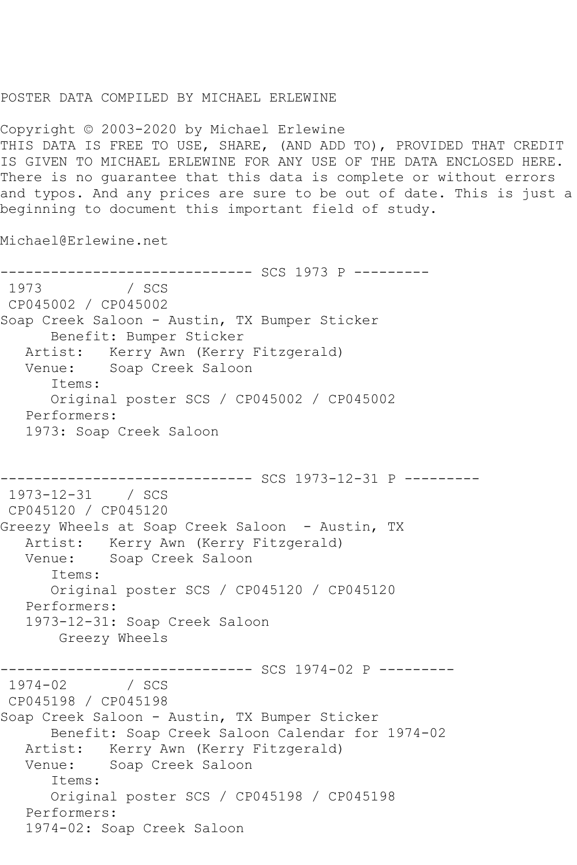## POSTER DATA COMPILED BY MICHAEL ERLEWINE

Copyright © 2003-2020 by Michael Erlewine THIS DATA IS FREE TO USE, SHARE, (AND ADD TO), PROVIDED THAT CREDIT IS GIVEN TO MICHAEL ERLEWINE FOR ANY USE OF THE DATA ENCLOSED HERE. There is no guarantee that this data is complete or without errors and typos. And any prices are sure to be out of date. This is just a beginning to document this important field of study.

Michael@Erlewine.net

------------------------------ SCS 1973 P ---------  $/$  SCS CP045002 / CP045002 Soap Creek Saloon - Austin, TX Bumper Sticker Benefit: Bumper Sticker Artist: Kerry Awn (Kerry Fitzgerald) Venue: Soap Creek Saloon Items: Original poster SCS / CP045002 / CP045002 Performers: 1973: Soap Creek Saloon ------------------------------ SCS 1973-12-31 P --------- 1973-12-31 / SCS CP045120 / CP045120 Greezy Wheels at Soap Creek Saloon - Austin, TX Artist: Kerry Awn (Kerry Fitzgerald) Venue: Soap Creek Saloon Items: Original poster SCS / CP045120 / CP045120 Performers: 1973-12-31: Soap Creek Saloon Greezy Wheels ---------------------------------- SCS 1974-02 P ---------<br>1974-02 / SCS  $1974 - 02$ CP045198 / CP045198 Soap Creek Saloon - Austin, TX Bumper Sticker Benefit: Soap Creek Saloon Calendar for 1974-02 Artist: Kerry Awn (Kerry Fitzgerald) Venue: Soap Creek Saloon Items: Original poster SCS / CP045198 / CP045198 Performers: 1974-02: Soap Creek Saloon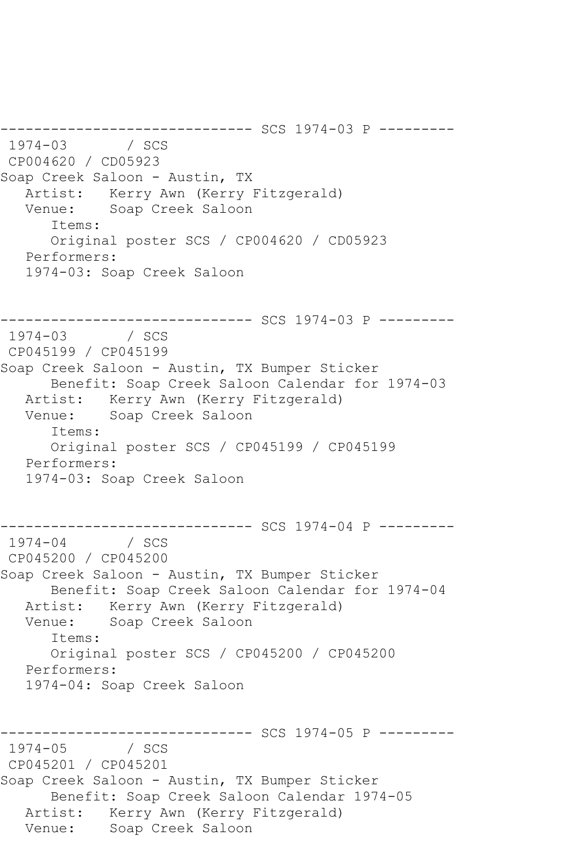----------------- SCS 1974-03 P ----------<br>/ SCS  $1974 - 03$ CP004620 / CD05923 Soap Creek Saloon - Austin, TX Artist: Kerry Awn (Kerry Fitzgerald) Venue: Soap Creek Saloon Items: Original poster SCS / CP004620 / CD05923 Performers: 1974-03: Soap Creek Saloon ------------------------------ SCS 1974-03 P --------- 1974-03 / SCS CP045199 / CP045199 Soap Creek Saloon - Austin, TX Bumper Sticker Benefit: Soap Creek Saloon Calendar for 1974-03 Artist: Kerry Awn (Kerry Fitzgerald) Venue: Soap Creek Saloon Items: Original poster SCS / CP045199 / CP045199 Performers: 1974-03: Soap Creek Saloon ----------------- SCS 1974-04 P ----------<br>/ SCS  $1974 - 04$ CP045200 / CP045200 Soap Creek Saloon - Austin, TX Bumper Sticker Benefit: Soap Creek Saloon Calendar for 1974-04 Artist: Kerry Awn (Kerry Fitzgerald)<br>Venue: Soap Creek Saloon Soap Creek Saloon Items: Original poster SCS / CP045200 / CP045200 Performers: 1974-04: Soap Creek Saloon ------------------------------ SCS 1974-05 P ---------  $1974 - 05$ CP045201 / CP045201 Soap Creek Saloon - Austin, TX Bumper Sticker Benefit: Soap Creek Saloon Calendar 1974-05 Artist: Kerry Awn (Kerry Fitzgerald) Venue: Soap Creek Saloon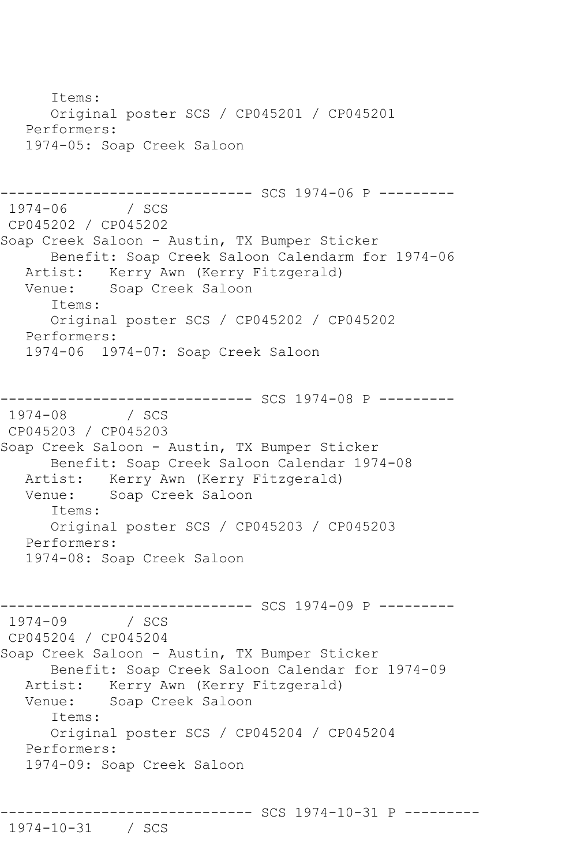Items: Original poster SCS / CP045201 / CP045201 Performers: 1974-05: Soap Creek Saloon ------------------------------ SCS 1974-06 P --------- 1974-1974-06 / SCS CP045202 / CP045202 Soap Creek Saloon - Austin, TX Bumper Sticker Benefit: Soap Creek Saloon Calendarm for 1974-06 Artist: Kerry Awn (Kerry Fitzgerald)<br>Venue: Soap Creek Saloon Soap Creek Saloon Items: Original poster SCS / CP045202 / CP045202 Performers: 1974-06 1974-07: Soap Creek Saloon --------------------------------- SCS 1974-08 P ---------<br>1974-08 / SCS  $1974 - 08$ CP045203 / CP045203 Soap Creek Saloon - Austin, TX Bumper Sticker Benefit: Soap Creek Saloon Calendar 1974-08 Artist: Kerry Awn (Kerry Fitzgerald)<br>Venue: Soap Creek Saloon Soap Creek Saloon Items: Original poster SCS / CP045203 / CP045203 Performers: 1974-08: Soap Creek Saloon ------------------------------ SCS 1974-09 P --------- 1974-09 / SCS CP045204 / CP045204 Soap Creek Saloon - Austin, TX Bumper Sticker Benefit: Soap Creek Saloon Calendar for 1974-09 Artist: Kerry Awn (Kerry Fitzgerald) Venue: Soap Creek Saloon Items: Original poster SCS / CP045204 / CP045204 Performers: 1974-09: Soap Creek Saloon

------------------------------ SCS 1974-10-31 P ---------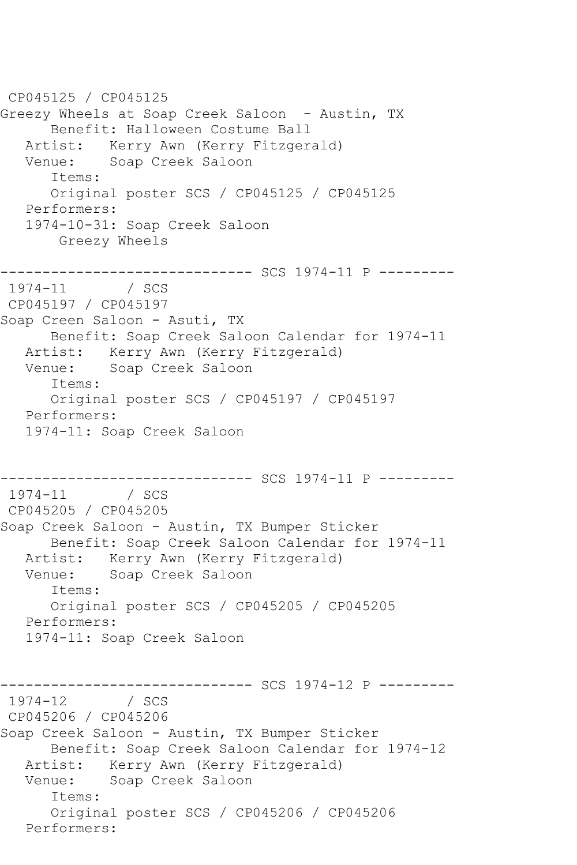CP045125 / CP045125 Greezy Wheels at Soap Creek Saloon - Austin, TX Benefit: Halloween Costume Ball Artist: Kerry Awn (Kerry Fitzgerald)<br>Venue: Soap Creek Saloon Soap Creek Saloon Items: Original poster SCS / CP045125 / CP045125 Performers: 1974-10-31: Soap Creek Saloon Greezy Wheels ------------------------------ SCS 1974-11 P ---------  $1974 - 11$ CP045197 / CP045197 Soap Creen Saloon - Asuti, TX Benefit: Soap Creek Saloon Calendar for 1974-11 Artist: Kerry Awn (Kerry Fitzgerald) Venue: Soap Creek Saloon Items: Original poster SCS / CP045197 / CP045197 Performers: 1974-11: Soap Creek Saloon ------------------------------ SCS 1974-11 P ---------  $1974 - 11$ CP045205 / CP045205 Soap Creek Saloon - Austin, TX Bumper Sticker Benefit: Soap Creek Saloon Calendar for 1974-11 Artist: Kerry Awn (Kerry Fitzgerald) Venue: Soap Creek Saloon Items: Original poster SCS / CP045205 / CP045205 Performers: 1974-11: Soap Creek Saloon ------------------------------ SCS 1974-12 P ---------  $1974 - 12$ CP045206 / CP045206 Soap Creek Saloon - Austin, TX Bumper Sticker Benefit: Soap Creek Saloon Calendar for 1974-12 Artist: Kerry Awn (Kerry Fitzgerald) Venue: Soap Creek Saloon Items: Original poster SCS / CP045206 / CP045206 Performers: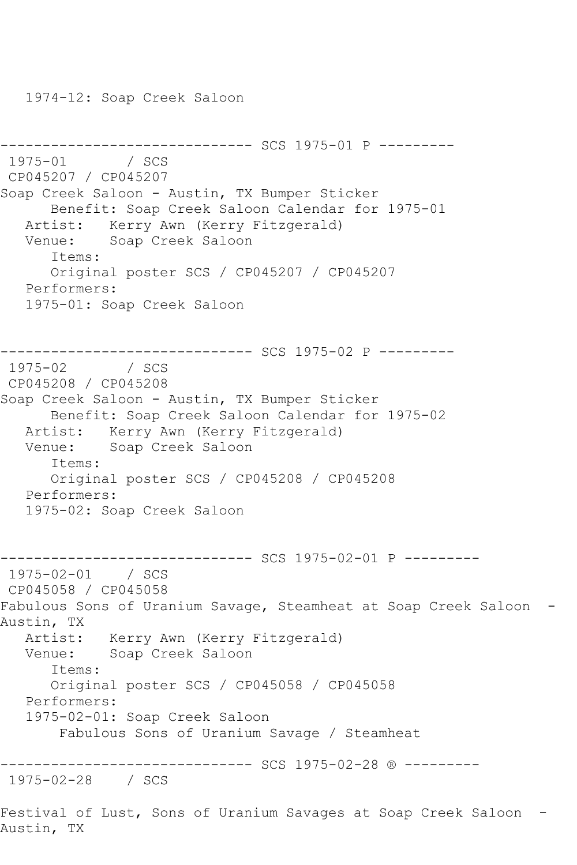1974-12: Soap Creek Saloon

```
--------------------------------- SCS 1975-01 P ----------<br>1975-01    / SCS
1975 - 01CP045207 / CP045207
Soap Creek Saloon - Austin, TX Bumper Sticker
      Benefit: Soap Creek Saloon Calendar for 1975-01
   Artist: Kerry Awn (Kerry Fitzgerald)
   Venue: Soap Creek Saloon
       Items:
      Original poster SCS / CP045207 / CP045207
   Performers:
   1975-01: Soap Creek Saloon
------------------------------ SCS 1975-02 P ---------
1975 - 02CP045208 / CP045208
Soap Creek Saloon - Austin, TX Bumper Sticker
      Benefit: Soap Creek Saloon Calendar for 1975-02
   Artist: Kerry Awn (Kerry Fitzgerald)
   Venue: Soap Creek Saloon
       Items:
      Original poster SCS / CP045208 / CP045208
   Performers:
   1975-02: Soap Creek Saloon
------------------------------ SCS 1975-02-01 P ---------
1975-02-01 / SCS 
CP045058 / CP045058
Fabulous Sons of Uranium Savage, Steamheat at Soap Creek Saloon -
Austin, TX
 Artist: Kerry Awn (Kerry Fitzgerald)
 Venue: Soap Creek Saloon
       Items:
      Original poster SCS / CP045058 / CP045058
   Performers:
   1975-02-01: Soap Creek Saloon
        Fabulous Sons of Uranium Savage / Steamheat
  ------------------------------ SCS 1975-02-28 ® ---------
1975-02-28 / SCS 
Festival of Lust, Sons of Uranium Savages at Soap Creek Saloon -
Austin, TX
```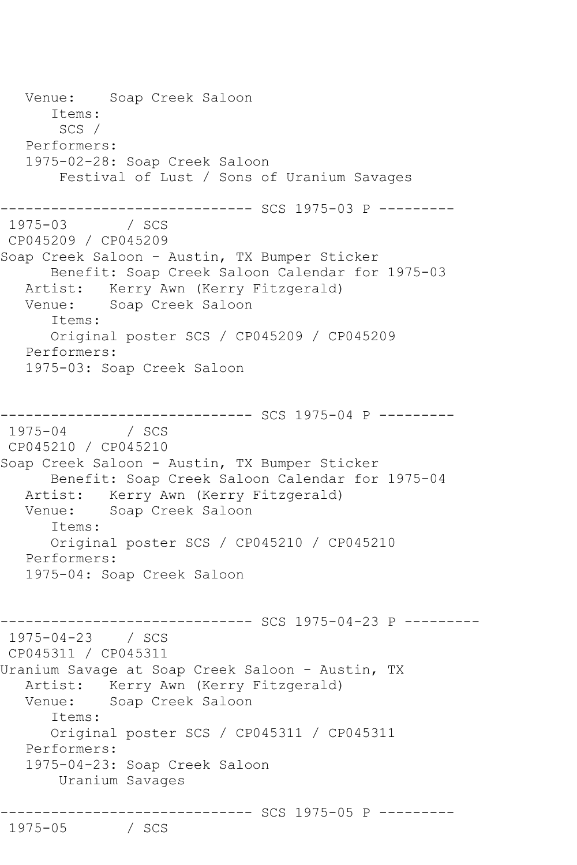Venue: Soap Creek Saloon Items: SCS / Performers: 1975-02-28: Soap Creek Saloon Festival of Lust / Sons of Uranium Savages ------------------------------ SCS 1975-03 P --------- 1975-03 / SCS CP045209 / CP045209 Soap Creek Saloon - Austin, TX Bumper Sticker Benefit: Soap Creek Saloon Calendar for 1975-03 Artist: Kerry Awn (Kerry Fitzgerald) Venue: Soap Creek Saloon Items: Original poster SCS / CP045209 / CP045209 Performers: 1975-03: Soap Creek Saloon ------------------------------ SCS 1975-04 P --------- 1975-04 / SCS CP045210 / CP045210 Soap Creek Saloon - Austin, TX Bumper Sticker Benefit: Soap Creek Saloon Calendar for 1975-04 Artist: Kerry Awn (Kerry Fitzgerald) Venue: Soap Creek Saloon Items: Original poster SCS / CP045210 / CP045210 Performers: 1975-04: Soap Creek Saloon ------------------------------ SCS 1975-04-23 P --------- 1975-04-23 / SCS CP045311 / CP045311 Uranium Savage at Soap Creek Saloon - Austin, TX Artist: Kerry Awn (Kerry Fitzgerald) Venue: Soap Creek Saloon Items: Original poster SCS / CP045311 / CP045311 Performers: 1975-04-23: Soap Creek Saloon Uranium Savages ------------------------------ SCS 1975-05 P --------- 1975-05 / SCS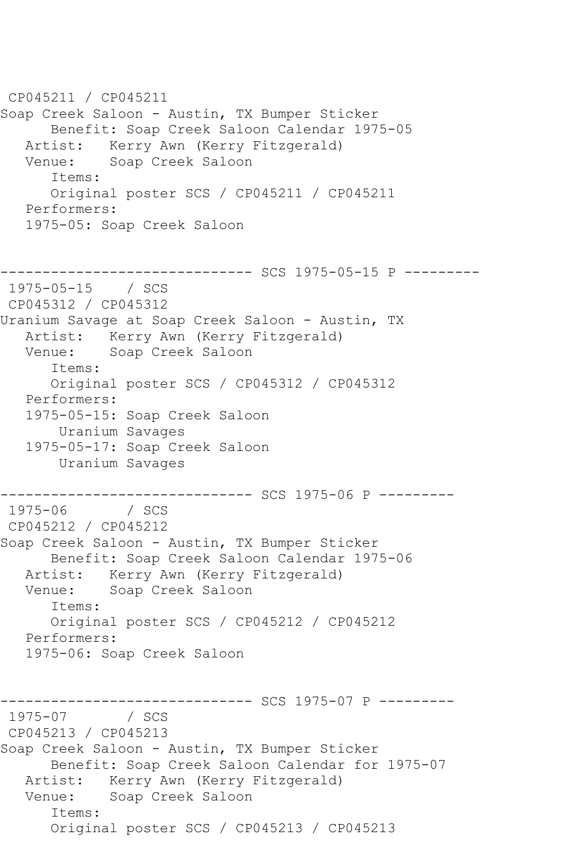CP045211 / CP045211 Soap Creek Saloon - Austin, TX Bumper Sticker Benefit: Soap Creek Saloon Calendar 1975-05 Artist: Kerry Awn (Kerry Fitzgerald)<br>Venue: Soap Creek Saloon Soap Creek Saloon Items: Original poster SCS / CP045211 / CP045211 Performers: 1975-05: Soap Creek Saloon ------------ SCS 1975-05-15 P ---------1975-05-15 / SCS CP045312 / CP045312 Uranium Savage at Soap Creek Saloon - Austin, TX Artist: Kerry Awn (Kerry Fitzgerald) Venue: Soap Creek Saloon Items: Original poster SCS / CP045312 / CP045312 Performers: 1975-05-15: Soap Creek Saloon Uranium Savages 1975-05-17: Soap Creek Saloon Uranium Savages ------------------------------ SCS 1975-06 P ---------  $1975 - 06$ CP045212 / CP045212 Soap Creek Saloon - Austin, TX Bumper Sticker Benefit: Soap Creek Saloon Calendar 1975-06 Artist: Kerry Awn (Kerry Fitzgerald) Venue: Soap Creek Saloon Items: Original poster SCS / CP045212 / CP045212 Performers: 1975-06: Soap Creek Saloon ------------------------------ SCS 1975-07 P ---------  $1975 - 07$ CP045213 / CP045213 Soap Creek Saloon - Austin, TX Bumper Sticker Benefit: Soap Creek Saloon Calendar for 1975-07 Artist: Kerry Awn (Kerry Fitzgerald) Venue: Soap Creek Saloon Items: Original poster SCS / CP045213 / CP045213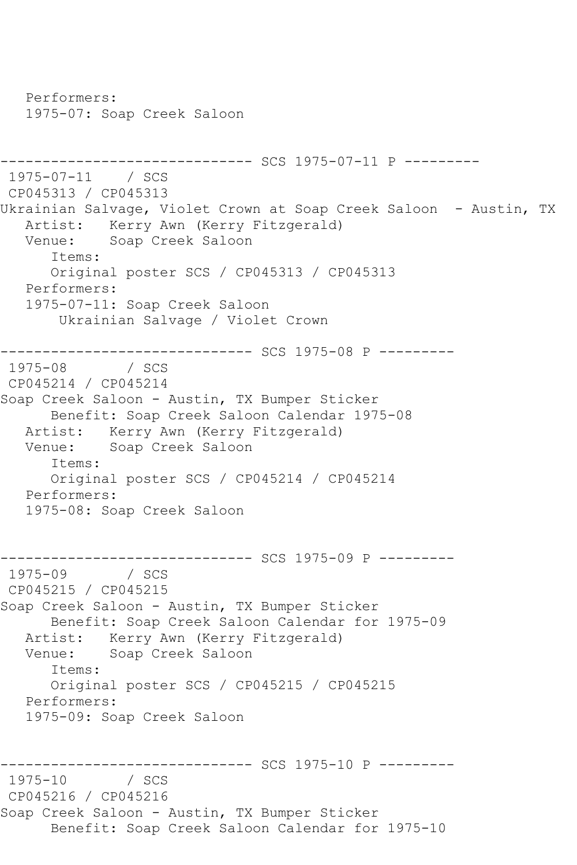Performers: 1975-07: Soap Creek Saloon ------------------------------ SCS 1975-07-11 P --------- 1975-07-11 / SCS CP045313 / CP045313 Ukrainian Salvage, Violet Crown at Soap Creek Saloon - Austin, TX Artist: Kerry Awn (Kerry Fitzgerald) Venue: Soap Creek Saloon Items: Original poster SCS / CP045313 / CP045313 Performers: 1975-07-11: Soap Creek Saloon Ukrainian Salvage / Violet Crown ------------------------------ SCS 1975-08 P ---------  $1975 - 08$ CP045214 / CP045214 Soap Creek Saloon - Austin, TX Bumper Sticker Benefit: Soap Creek Saloon Calendar 1975-08 Artist: Kerry Awn (Kerry Fitzgerald) Venue: Soap Creek Saloon Items: Original poster SCS / CP045214 / CP045214 Performers: 1975-08: Soap Creek Saloon ------------------------------ SCS 1975-09 P ---------  $1975 - 09$ CP045215 / CP045215 Soap Creek Saloon - Austin, TX Bumper Sticker Benefit: Soap Creek Saloon Calendar for 1975-09 Artist: Kerry Awn (Kerry Fitzgerald) Venue: Soap Creek Saloon Items: Original poster SCS / CP045215 / CP045215 Performers: 1975-09: Soap Creek Saloon ------------------------------ SCS 1975-10 P ---------  $1975 - 10$ CP045216 / CP045216 Soap Creek Saloon - Austin, TX Bumper Sticker Benefit: Soap Creek Saloon Calendar for 1975-10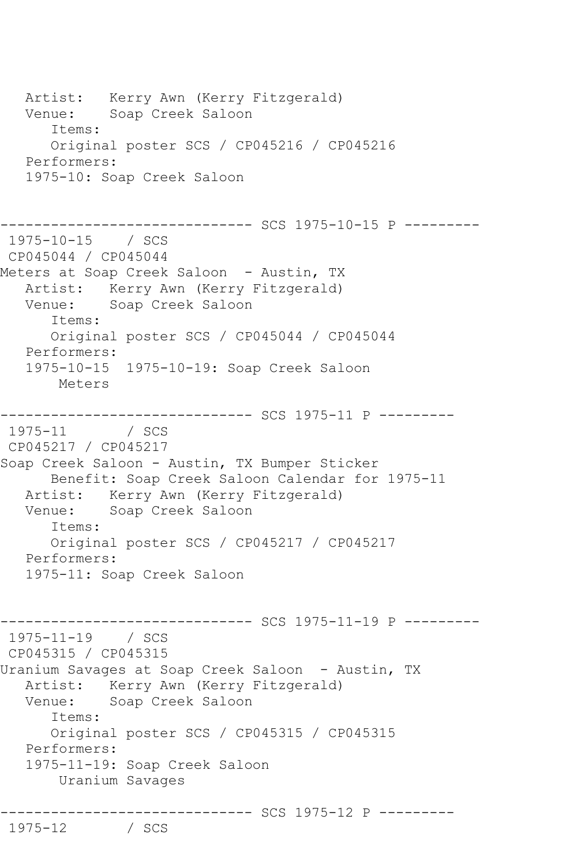Artist: Kerry Awn (Kerry Fitzgerald) Venue: Soap Creek Saloon Items: Original poster SCS / CP045216 / CP045216 Performers: 1975-10: Soap Creek Saloon ---------- SCS 1975-10-15 P ---------1975-10-15 / SCS CP045044 / CP045044 Meters at Soap Creek Saloon - Austin, TX Artist: Kerry Awn (Kerry Fitzgerald) Venue: Soap Creek Saloon Items: Original poster SCS / CP045044 / CP045044 Performers: 1975-10-15 1975-10-19: Soap Creek Saloon Meters ------------------------------ SCS 1975-11 P --------- 1975-11 / SCS CP045217 / CP045217 Soap Creek Saloon - Austin, TX Bumper Sticker Benefit: Soap Creek Saloon Calendar for 1975-11 Artist: Kerry Awn (Kerry Fitzgerald)<br>Venue: Soap Creek Saloon Soap Creek Saloon Items: Original poster SCS / CP045217 / CP045217 Performers: 1975-11: Soap Creek Saloon ------------------------------ SCS 1975-11-19 P --------- 1975-11-19 / SCS CP045315 / CP045315 Uranium Savages at Soap Creek Saloon - Austin, TX Artist: Kerry Awn (Kerry Fitzgerald) Venue: Soap Creek Saloon Items: Original poster SCS / CP045315 / CP045315 Performers: 1975-11-19: Soap Creek Saloon Uranium Savages ------------------------------ SCS 1975-12 P --------- 1975-12 / SCS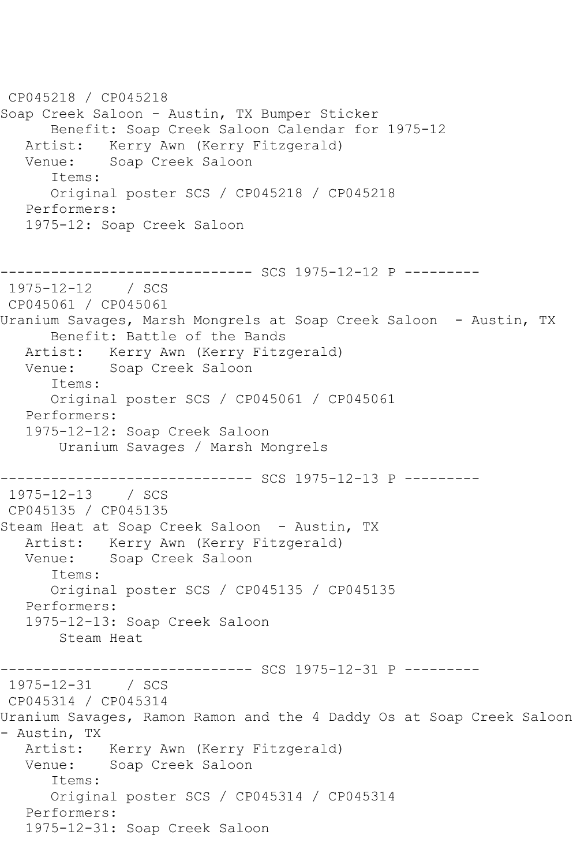CP045218 / CP045218 Soap Creek Saloon - Austin, TX Bumper Sticker Benefit: Soap Creek Saloon Calendar for 1975-12 Artist: Kerry Awn (Kerry Fitzgerald)<br>Venue: Soap Creek Saloon Soap Creek Saloon Items: Original poster SCS / CP045218 / CP045218 Performers: 1975-12: Soap Creek Saloon ------------------------------ SCS 1975-12-12 P --------- 1975-12-12 / SCS CP045061 / CP045061 Uranium Savages, Marsh Mongrels at Soap Creek Saloon - Austin, TX Benefit: Battle of the Bands Artist: Kerry Awn (Kerry Fitzgerald) Venue: Soap Creek Saloon Items: Original poster SCS / CP045061 / CP045061 Performers: 1975-12-12: Soap Creek Saloon Uranium Savages / Marsh Mongrels ------------------------------ SCS 1975-12-13 P --------- 1975-12-13 / SCS CP045135 / CP045135 Steam Heat at Soap Creek Saloon - Austin, TX Artist: Kerry Awn (Kerry Fitzgerald) Venue: Soap Creek Saloon Items: Original poster SCS / CP045135 / CP045135 Performers: 1975-12-13: Soap Creek Saloon Steam Heat ------------------------------ SCS 1975-12-31 P --------- 1975-12-31 / SCS CP045314 / CP045314 Uranium Savages, Ramon Ramon and the 4 Daddy Os at Soap Creek Saloon - Austin, TX Artist: Kerry Awn (Kerry Fitzgerald) Venue: Soap Creek Saloon Items: Original poster SCS / CP045314 / CP045314 Performers: 1975-12-31: Soap Creek Saloon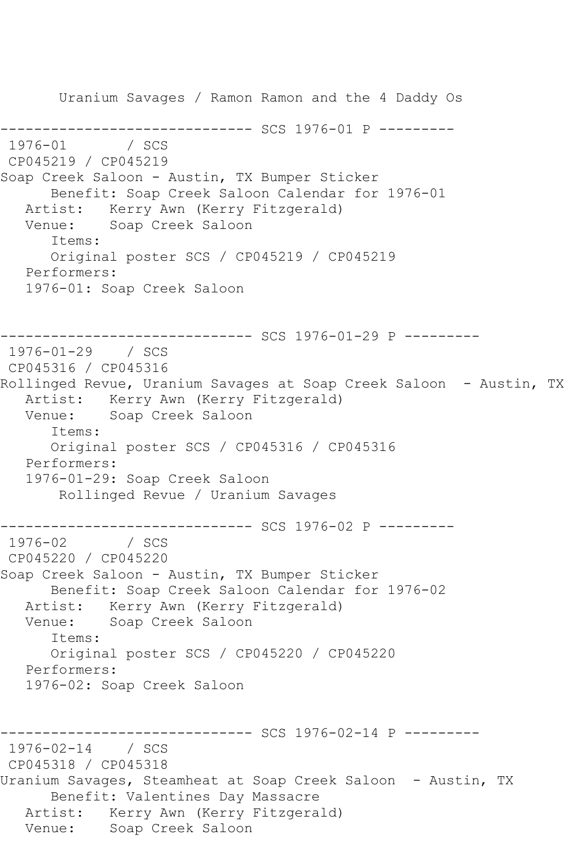Uranium Savages / Ramon Ramon and the 4 Daddy Os ------------------------------ SCS 1976-01 P ---------  $1976 - 01$ CP045219 / CP045219 Soap Creek Saloon - Austin, TX Bumper Sticker Benefit: Soap Creek Saloon Calendar for 1976-01 Artist: Kerry Awn (Kerry Fitzgerald) Venue: Soap Creek Saloon Items: Original poster SCS / CP045219 / CP045219 Performers: 1976-01: Soap Creek Saloon ---------- SCS 1976-01-29 P ---------1976-01-29 / SCS CP045316 / CP045316 Rollinged Revue, Uranium Savages at Soap Creek Saloon - Austin, TX Artist: Kerry Awn (Kerry Fitzgerald)<br>Venue: Soap Creek Saloon Soap Creek Saloon Items: Original poster SCS / CP045316 / CP045316 Performers: 1976-01-29: Soap Creek Saloon Rollinged Revue / Uranium Savages ------------------------------ SCS 1976-02 P ---------  $1976 - 02$ CP045220 / CP045220 Soap Creek Saloon - Austin, TX Bumper Sticker Benefit: Soap Creek Saloon Calendar for 1976-02 Artist: Kerry Awn (Kerry Fitzgerald)<br>Venue: Soap Creek Saloon Soap Creek Saloon Items: Original poster SCS / CP045220 / CP045220 Performers: 1976-02: Soap Creek Saloon ---------- SCS 1976-02-14 P ---------1976-02-14 / SCS CP045318 / CP045318 Uranium Savages, Steamheat at Soap Creek Saloon - Austin, TX Benefit: Valentines Day Massacre Artist: Kerry Awn (Kerry Fitzgerald) Venue: Soap Creek Saloon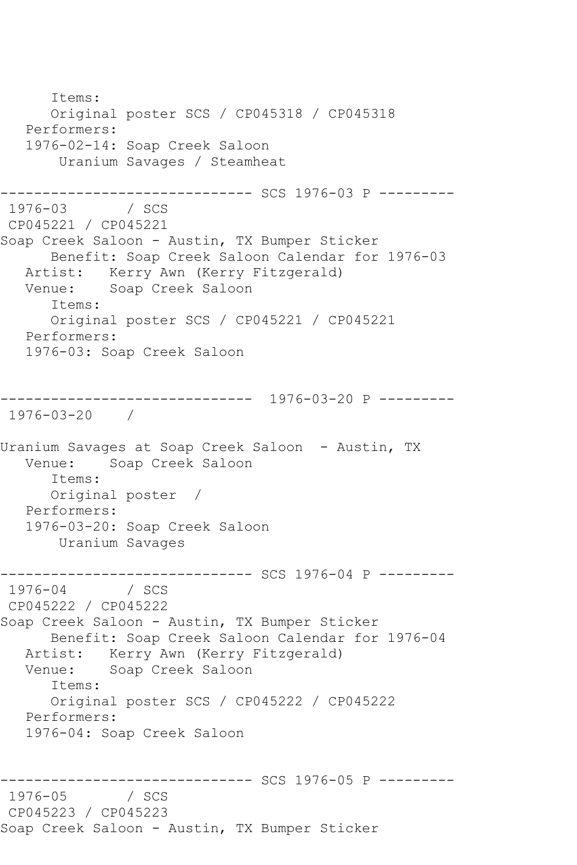Items: Original poster SCS / CP045318 / CP045318 Performers: 1976-02-14: Soap Creek Saloon Uranium Savages / Steamheat ------------------------------ SCS 1976-03 P --------- 1976-03 / SCS CP045221 / CP045221 Soap Creek Saloon - Austin, TX Bumper Sticker Benefit: Soap Creek Saloon Calendar for 1976-03 Artist: Kerry Awn (Kerry Fitzgerald)<br>Venue: Soap Creek Saloon Soap Creek Saloon Items: Original poster SCS / CP045221 / CP045221 Performers: 1976-03: Soap Creek Saloon ------------------------------ 1976-03-20 P --------- 1976-03-20 / Uranium Savages at Soap Creek Saloon - Austin, TX Soap Creek Saloon Items: Original poster / Performers: 1976-03-20: Soap Creek Saloon Uranium Savages ------------------------------ SCS 1976-04 P ---------  $1976 - 04$ CP045222 / CP045222 Soap Creek Saloon - Austin, TX Bumper Sticker Benefit: Soap Creek Saloon Calendar for 1976-04 Artist: Kerry Awn (Kerry Fitzgerald) Venue: Soap Creek Saloon Items: Original poster SCS / CP045222 / CP045222 Performers: 1976-04: Soap Creek Saloon ------------------------------ SCS 1976-05 P ---------  $1976 - 05$ CP045223 / CP045223 Soap Creek Saloon - Austin, TX Bumper Sticker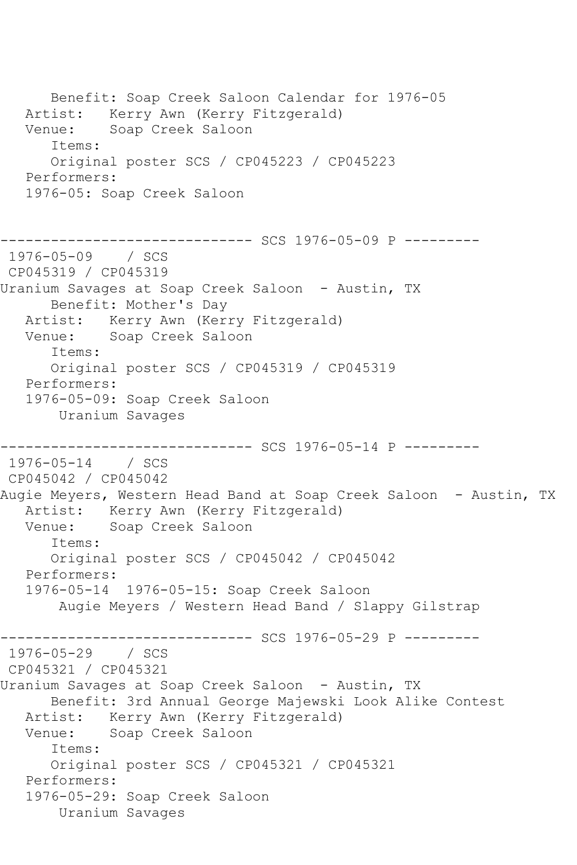Benefit: Soap Creek Saloon Calendar for 1976-05 Artist: Kerry Awn (Kerry Fitzgerald) Venue: Soap Creek Saloon Items: Original poster SCS / CP045223 / CP045223 Performers: 1976-05: Soap Creek Saloon ------------------------------ SCS 1976-05-09 P --------- 1976-05-09 / SCS CP045319 / CP045319 Uranium Savages at Soap Creek Saloon - Austin, TX Benefit: Mother's Day Artist: Kerry Awn (Kerry Fitzgerald) Venue: Soap Creek Saloon Items: Original poster SCS / CP045319 / CP045319 Performers: 1976-05-09: Soap Creek Saloon Uranium Savages ------------------------------ SCS 1976-05-14 P --------- 1976-05-14 / SCS CP045042 / CP045042 Augie Meyers, Western Head Band at Soap Creek Saloon - Austin, TX Artist: Kerry Awn (Kerry Fitzgerald) Venue: Soap Creek Saloon Items: Original poster SCS / CP045042 / CP045042 Performers: 1976-05-14 1976-05-15: Soap Creek Saloon Augie Meyers / Western Head Band / Slappy Gilstrap ------------------------------ SCS 1976-05-29 P --------- 1976-05-29 / SCS CP045321 / CP045321 Uranium Savages at Soap Creek Saloon - Austin, TX Benefit: 3rd Annual George Majewski Look Alike Contest Artist: Kerry Awn (Kerry Fitzgerald) Venue: Soap Creek Saloon Items: Original poster SCS / CP045321 / CP045321 Performers: 1976-05-29: Soap Creek Saloon Uranium Savages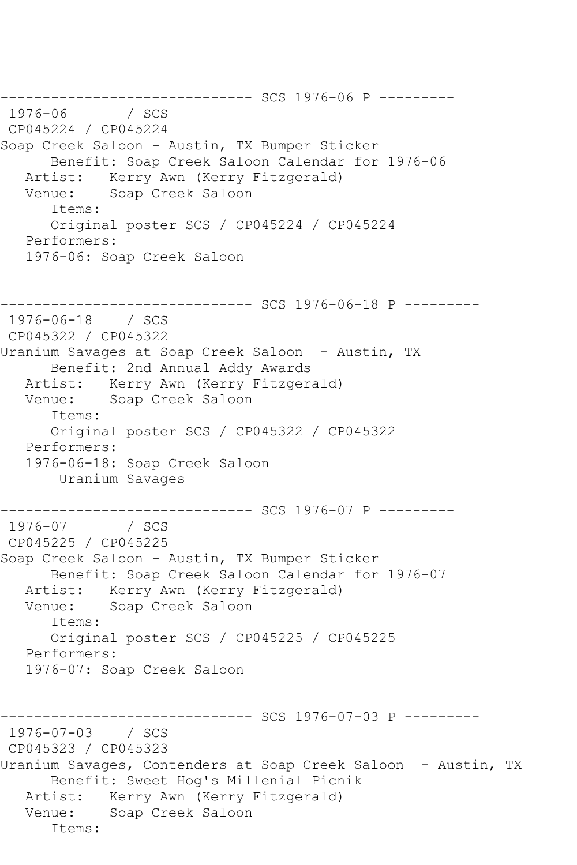--------------------------------- SCS 1976-06 P ---------<br>1976-06 / SCS  $1976 - 06$ CP045224 / CP045224 Soap Creek Saloon - Austin, TX Bumper Sticker Benefit: Soap Creek Saloon Calendar for 1976-06 Artist: Kerry Awn (Kerry Fitzgerald) Venue: Soap Creek Saloon Items: Original poster SCS / CP045224 / CP045224 Performers: 1976-06: Soap Creek Saloon ------------------------------ SCS 1976-06-18 P --------- 1976-06-18 / SCS CP045322 / CP045322 Uranium Savages at Soap Creek Saloon - Austin, TX Benefit: 2nd Annual Addy Awards Artist: Kerry Awn (Kerry Fitzgerald) Venue: Soap Creek Saloon Items: Original poster SCS / CP045322 / CP045322 Performers: 1976-06-18: Soap Creek Saloon Uranium Savages ------------------------------ SCS 1976-07 P --------- 1976-07 / SCS CP045225 / CP045225 Soap Creek Saloon - Austin, TX Bumper Sticker Benefit: Soap Creek Saloon Calendar for 1976-07 Artist: Kerry Awn (Kerry Fitzgerald) Venue: Soap Creek Saloon Items: Original poster SCS / CP045225 / CP045225 Performers: 1976-07: Soap Creek Saloon ------------------------------ SCS 1976-07-03 P --------- 1976-07-03 / SCS CP045323 / CP045323 Uranium Savages, Contenders at Soap Creek Saloon - Austin, TX Benefit: Sweet Hog's Millenial Picnik Artist: Kerry Awn (Kerry Fitzgerald) Venue: Soap Creek Saloon Items: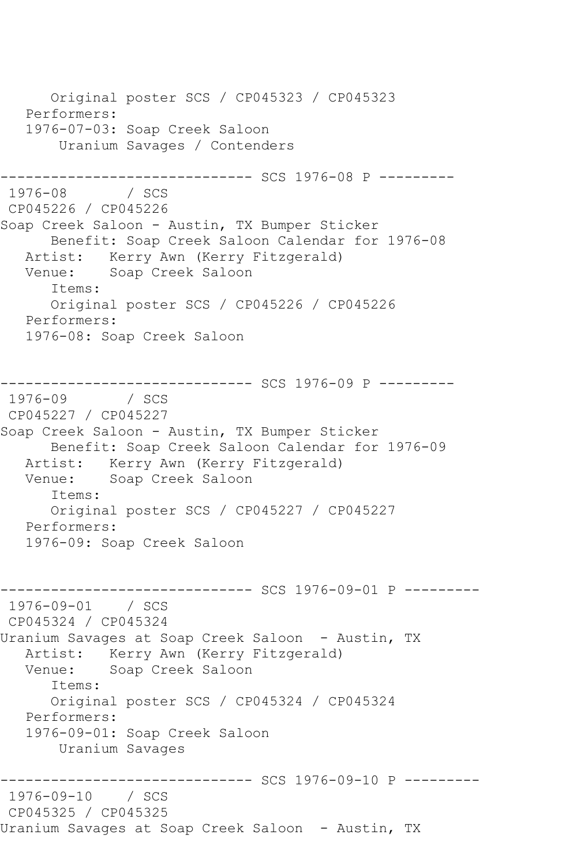Original poster SCS / CP045323 / CP045323 Performers: 1976-07-03: Soap Creek Saloon Uranium Savages / Contenders ------------------------------ SCS 1976-08 P ---------  $1976 - 08$ CP045226 / CP045226 Soap Creek Saloon - Austin, TX Bumper Sticker Benefit: Soap Creek Saloon Calendar for 1976-08 Artist: Kerry Awn (Kerry Fitzgerald)<br>Venue: Soap Creek Saloon Soap Creek Saloon Items: Original poster SCS / CP045226 / CP045226 Performers: 1976-08: Soap Creek Saloon ---------- SCS 1976-09 P ---------1976-09 / SCS CP045227 / CP045227 Soap Creek Saloon - Austin, TX Bumper Sticker Benefit: Soap Creek Saloon Calendar for 1976-09 Artist: Kerry Awn (Kerry Fitzgerald) Venue: Soap Creek Saloon Items: Original poster SCS / CP045227 / CP045227 Performers: 1976-09: Soap Creek Saloon ---------- SCS 1976-09-01 P ---------1976-09-01 / SCS CP045324 / CP045324 Uranium Savages at Soap Creek Saloon - Austin, TX Artist: Kerry Awn (Kerry Fitzgerald)<br>Venue: Soap Creek Saloon Soap Creek Saloon Items: Original poster SCS / CP045324 / CP045324 Performers: 1976-09-01: Soap Creek Saloon Uranium Savages ------------------------------ SCS 1976-09-10 P --------- 1976-09-10 / SCS CP045325 / CP045325 Uranium Savages at Soap Creek Saloon - Austin, TX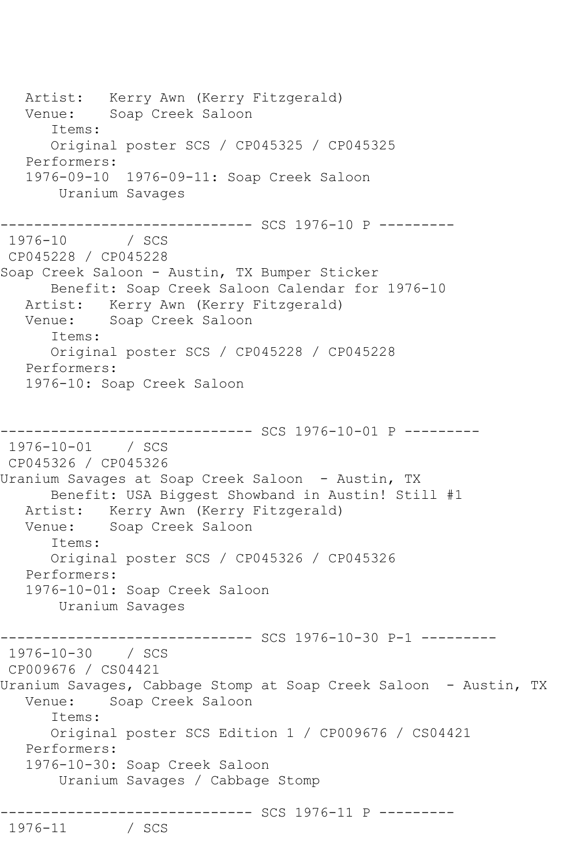Artist: Kerry Awn (Kerry Fitzgerald) Venue: Soap Creek Saloon Items: Original poster SCS / CP045325 / CP045325 Performers: 1976-09-10 1976-09-11: Soap Creek Saloon Uranium Savages ------------------------------ SCS 1976-10 P ---------  $1976 - 10$ CP045228 / CP045228 Soap Creek Saloon - Austin, TX Bumper Sticker Benefit: Soap Creek Saloon Calendar for 1976-10 Artist: Kerry Awn (Kerry Fitzgerald) Venue: Soap Creek Saloon Items: Original poster SCS / CP045228 / CP045228 Performers: 1976-10: Soap Creek Saloon ---------- SCS 1976-10-01 P ---------1976-10-01 / SCS CP045326 / CP045326 Uranium Savages at Soap Creek Saloon - Austin, TX Benefit: USA Biggest Showband in Austin! Still #1 Artist: Kerry Awn (Kerry Fitzgerald) Venue: Soap Creek Saloon Items: Original poster SCS / CP045326 / CP045326 Performers: 1976-10-01: Soap Creek Saloon Uranium Savages ------------------------------ SCS 1976-10-30 P-1 --------- 1976-10-30 / SCS CP009676 / CS04421 Uranium Savages, Cabbage Stomp at Soap Creek Saloon - Austin, TX Venue: Soap Creek Saloon Items: Original poster SCS Edition 1 / CP009676 / CS04421 Performers: 1976-10-30: Soap Creek Saloon Uranium Savages / Cabbage Stomp ------------------------------ SCS 1976-11 P --------- 1976 / SCS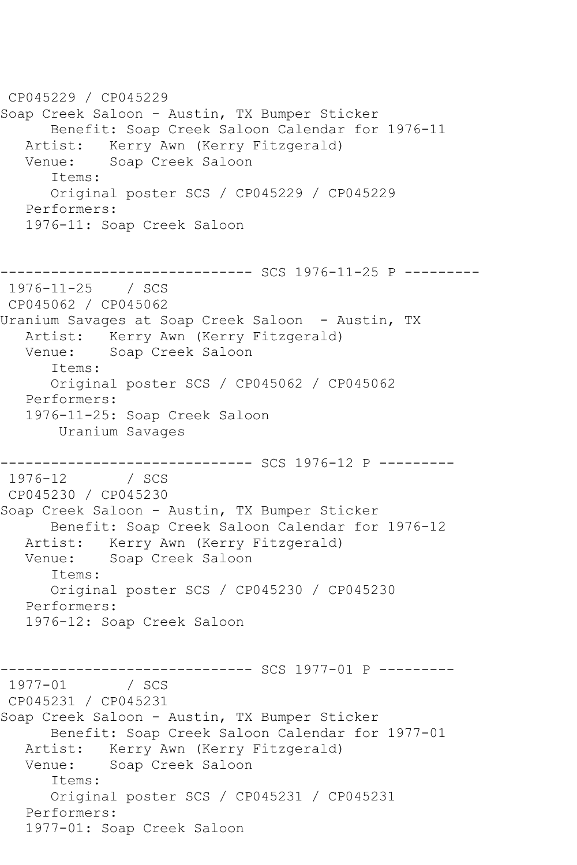CP045229 / CP045229 Soap Creek Saloon - Austin, TX Bumper Sticker Benefit: Soap Creek Saloon Calendar for 1976-11 Artist: Kerry Awn (Kerry Fitzgerald)<br>Venue: Soap Creek Saloon Soap Creek Saloon Items: Original poster SCS / CP045229 / CP045229 Performers: 1976-11: Soap Creek Saloon ------------------------------ SCS 1976-11-25 P --------- 1976-11-25 / SCS CP045062 / CP045062 Uranium Savages at Soap Creek Saloon - Austin, TX Artist: Kerry Awn (Kerry Fitzgerald) Venue: Soap Creek Saloon Items: Original poster SCS / CP045062 / CP045062 Performers: 1976-11-25: Soap Creek Saloon Uranium Savages ------------------------------ SCS 1976-12 P ---------  $1976 - 12$ CP045230 / CP045230 Soap Creek Saloon - Austin, TX Bumper Sticker Benefit: Soap Creek Saloon Calendar for 1976-12 Artist: Kerry Awn (Kerry Fitzgerald) Venue: Soap Creek Saloon Items: Original poster SCS / CP045230 / CP045230 Performers: 1976-12: Soap Creek Saloon --------------------------------- SCS 1977-01 P ---------<br>1977-01 / SCS 1977-01 CP045231 / CP045231 Soap Creek Saloon - Austin, TX Bumper Sticker Benefit: Soap Creek Saloon Calendar for 1977-01 Artist: Kerry Awn (Kerry Fitzgerald) Venue: Soap Creek Saloon Items: Original poster SCS / CP045231 / CP045231 Performers: 1977-01: Soap Creek Saloon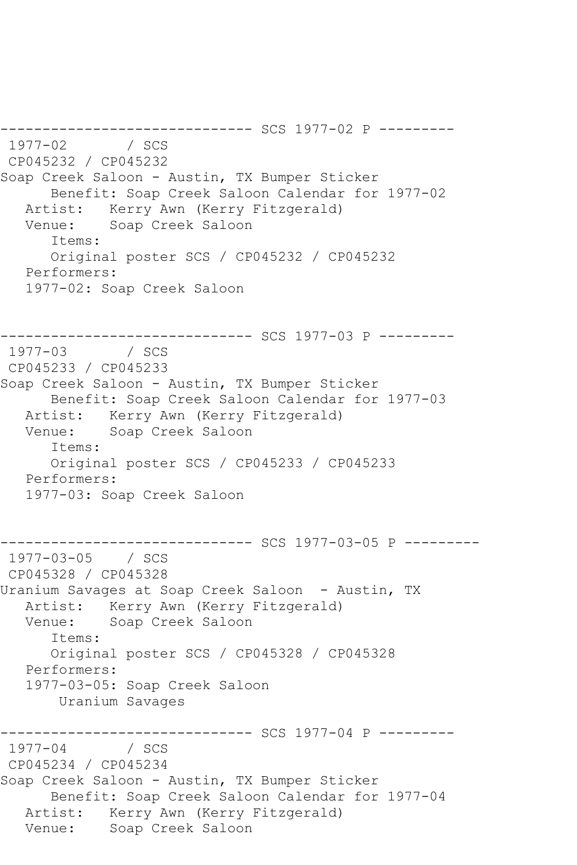------------------------------ SCS 1977-02 P --------- 1977-02 CP045232 / CP045232 Soap Creek Saloon - Austin, TX Bumper Sticker Benefit: Soap Creek Saloon Calendar for 1977-02 Artist: Kerry Awn (Kerry Fitzgerald) Venue: Soap Creek Saloon Items: Original poster SCS / CP045232 / CP045232 Performers: 1977-02: Soap Creek Saloon --------- SCS 1977-03 P ---------1977-03 / SCS CP045233 / CP045233 Soap Creek Saloon - Austin, TX Bumper Sticker Benefit: Soap Creek Saloon Calendar for 1977-03 Artist: Kerry Awn (Kerry Fitzgerald) Venue: Soap Creek Saloon Items: Original poster SCS / CP045233 / CP045233 Performers: 1977-03: Soap Creek Saloon ---------- SCS 1977-03-05 P ---------1977-03-05 / SCS CP045328 / CP045328 Uranium Savages at Soap Creek Saloon - Austin, TX Artist: Kerry Awn (Kerry Fitzgerald)<br>Venue: Soap Creek Saloon Soap Creek Saloon Items: Original poster SCS / CP045328 / CP045328 Performers: 1977-03-05: Soap Creek Saloon Uranium Savages ------------------------------ SCS 1977-04 P ---------  $1977 - 04$ CP045234 / CP045234 Soap Creek Saloon - Austin, TX Bumper Sticker Benefit: Soap Creek Saloon Calendar for 1977-04 Artist: Kerry Awn (Kerry Fitzgerald) Venue: Soap Creek Saloon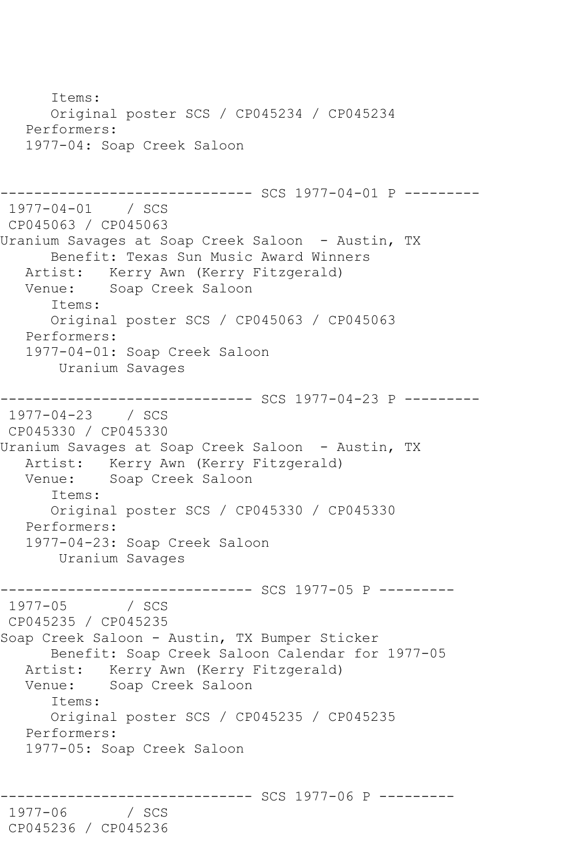Items: Original poster SCS / CP045234 / CP045234 Performers: 1977-04: Soap Creek Saloon ------------------------------ SCS 1977-04-01 P --------- 1977-04-01 / SCS CP045063 / CP045063 Uranium Savages at Soap Creek Saloon - Austin, TX Benefit: Texas Sun Music Award Winners Artist: Kerry Awn (Kerry Fitzgerald) Venue: Soap Creek Saloon Items: Original poster SCS / CP045063 / CP045063 Performers: 1977-04-01: Soap Creek Saloon Uranium Savages ------------------------------ SCS 1977-04-23 P --------- 1977-04-23 / SCS CP045330 / CP045330 Uranium Savages at Soap Creek Saloon - Austin, TX Artist: Kerry Awn (Kerry Fitzgerald) Venue: Soap Creek Saloon Items: Original poster SCS / CP045330 / CP045330 Performers: 1977-04-23: Soap Creek Saloon Uranium Savages ------------------------------ SCS 1977-05 P ---------  $1977 - 05$ CP045235 / CP045235 Soap Creek Saloon - Austin, TX Bumper Sticker Benefit: Soap Creek Saloon Calendar for 1977-05 Artist: Kerry Awn (Kerry Fitzgerald) Venue: Soap Creek Saloon Items: Original poster SCS / CP045235 / CP045235 Performers: 1977-05: Soap Creek Saloon --------- SCS 1977-06 P ---------1977-06 / SCS CP045236 / CP045236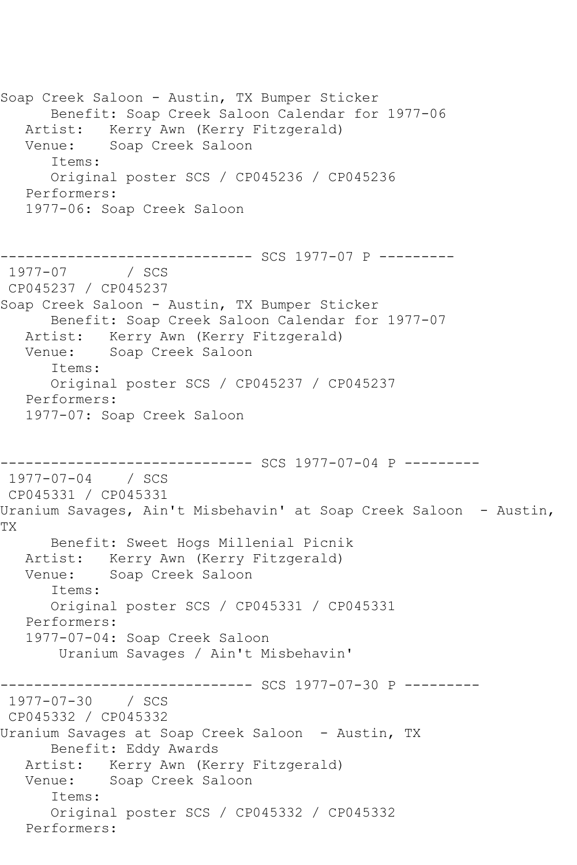Soap Creek Saloon - Austin, TX Bumper Sticker Benefit: Soap Creek Saloon Calendar for 1977-06 Artist: Kerry Awn (Kerry Fitzgerald) Venue: Soap Creek Saloon Items: Original poster SCS / CP045236 / CP045236 Performers: 1977-06: Soap Creek Saloon ------------------------------ SCS 1977-07 P --------- 1977-07 / SCS CP045237 / CP045237 Soap Creek Saloon - Austin, TX Bumper Sticker Benefit: Soap Creek Saloon Calendar for 1977-07 Artist: Kerry Awn (Kerry Fitzgerald) Venue: Soap Creek Saloon Items: Original poster SCS / CP045237 / CP045237 Performers: 1977-07: Soap Creek Saloon ------------------------------ SCS 1977-07-04 P --------- 1977-07-04 / SCS CP045331 / CP045331 Uranium Savages, Ain't Misbehavin' at Soap Creek Saloon - Austin, TX Benefit: Sweet Hogs Millenial Picnik Artist: Kerry Awn (Kerry Fitzgerald) Venue: Soap Creek Saloon Items: Original poster SCS / CP045331 / CP045331 Performers: 1977-07-04: Soap Creek Saloon Uranium Savages / Ain't Misbehavin' ----------- SCS 1977-07-30 P ---------1977-07-30 / SCS CP045332 / CP045332 Uranium Savages at Soap Creek Saloon - Austin, TX Benefit: Eddy Awards Artist: Kerry Awn (Kerry Fitzgerald) Venue: Soap Creek Saloon Items: Original poster SCS / CP045332 / CP045332 Performers: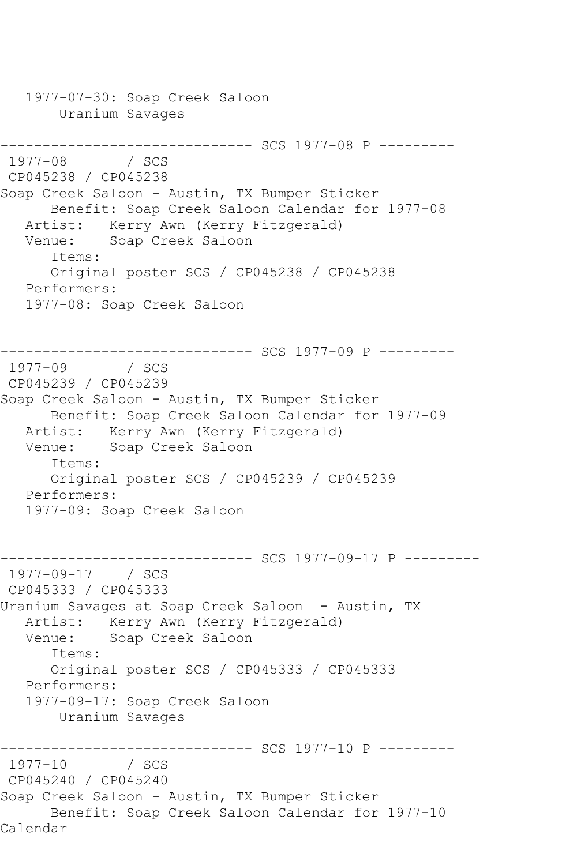1977-07-30: Soap Creek Saloon Uranium Savages ------------------------------ SCS 1977-08 P --------- 1977-08 / SCS CP045238 / CP045238 Soap Creek Saloon - Austin, TX Bumper Sticker Benefit: Soap Creek Saloon Calendar for 1977-08 Artist: Kerry Awn (Kerry Fitzgerald) Venue: Soap Creek Saloon Items: Original poster SCS / CP045238 / CP045238 Performers: 1977-08: Soap Creek Saloon ------------------------------ SCS 1977-09 P --------- 1977-09 CP045239 / CP045239 Soap Creek Saloon - Austin, TX Bumper Sticker Benefit: Soap Creek Saloon Calendar for 1977-09 Artist: Kerry Awn (Kerry Fitzgerald) Venue: Soap Creek Saloon Items: Original poster SCS / CP045239 / CP045239 Performers: 1977-09: Soap Creek Saloon ------------------------------ SCS 1977-09-17 P --------- 1977-09-17 / SCS CP045333 / CP045333 Uranium Savages at Soap Creek Saloon - Austin, TX Artist: Kerry Awn (Kerry Fitzgerald) Venue: Soap Creek Saloon Items: Original poster SCS / CP045333 / CP045333 Performers: 1977-09-17: Soap Creek Saloon Uranium Savages --------------------------------- SCS 1977-10 P ---------<br>1977-10 / SCS  $1977 - 10$ CP045240 / CP045240 Soap Creek Saloon - Austin, TX Bumper Sticker Benefit: Soap Creek Saloon Calendar for 1977-10 Calendar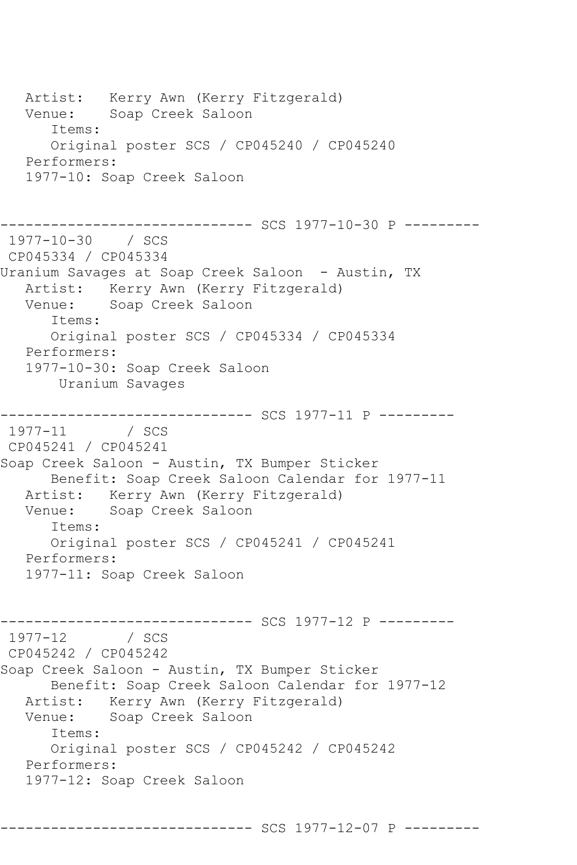Artist: Kerry Awn (Kerry Fitzgerald) Venue: Soap Creek Saloon Items: Original poster SCS / CP045240 / CP045240 Performers: 1977-10: Soap Creek Saloon ----------- SCS 1977-10-30 P ---------1977-10-30 / SCS CP045334 / CP045334 Uranium Savages at Soap Creek Saloon - Austin, TX Artist: Kerry Awn (Kerry Fitzgerald) Venue: Soap Creek Saloon Items: Original poster SCS / CP045334 / CP045334 Performers: 1977-10-30: Soap Creek Saloon Uranium Savages ------------------------------ SCS 1977-11 P --------- 1977-11 / SCS CP045241 / CP045241 Soap Creek Saloon - Austin, TX Bumper Sticker Benefit: Soap Creek Saloon Calendar for 1977-11 Artist: Kerry Awn (Kerry Fitzgerald)<br>Venue: Soap Creek Saloon Soap Creek Saloon Items: Original poster SCS / CP045241 / CP045241 Performers: 1977-11: Soap Creek Saloon ------------------------------ SCS 1977-12 P --------- 1977-12 / SCS CP045242 / CP045242 Soap Creek Saloon - Austin, TX Bumper Sticker Benefit: Soap Creek Saloon Calendar for 1977-12 Artist: Kerry Awn (Kerry Fitzgerald)<br>Venue: Soap Creek Saloon Soap Creek Saloon Items: Original poster SCS / CP045242 / CP045242 Performers: 1977-12: Soap Creek Saloon

------------------------------ SCS 1977-12-07 P ---------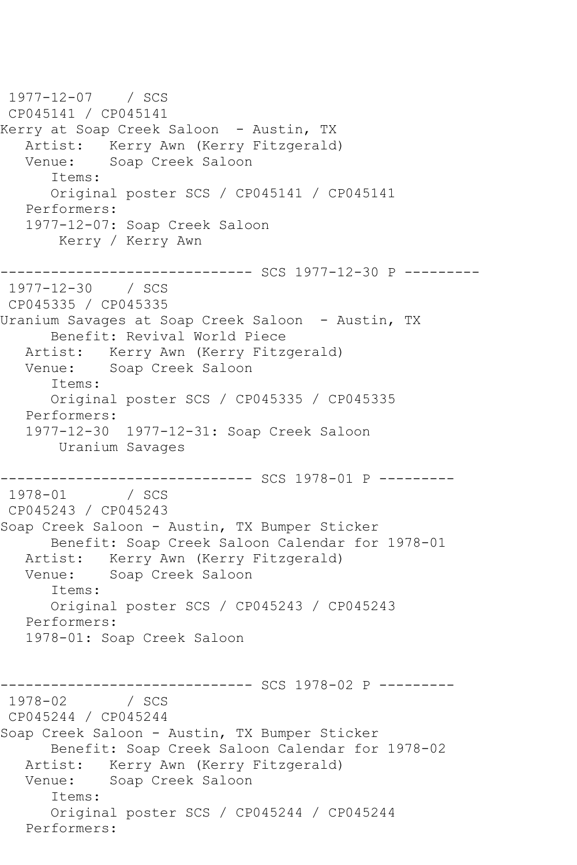1977-12-07 / SCS CP045141 / CP045141 Kerry at Soap Creek Saloon – Austin, TX Artist: Kerry Awn (Kerry Fitzgerald)<br>Venue: Soap Creek Saloon Soap Creek Saloon Items: Original poster SCS / CP045141 / CP045141 Performers: 1977-12-07: Soap Creek Saloon Kerry / Kerry Awn ------------------------------ SCS 1977-12-30 P --------- 1977-12-30 / SCS CP045335 / CP045335 Uranium Savages at Soap Creek Saloon - Austin, TX Benefit: Revival World Piece Artist: Kerry Awn (Kerry Fitzgerald) Venue: Soap Creek Saloon Items: Original poster SCS / CP045335 / CP045335 Performers: 1977-12-30 1977-12-31: Soap Creek Saloon Uranium Savages ------------------------------ SCS 1978-01 P ---------  $1978 - 01$ CP045243 / CP045243 Soap Creek Saloon - Austin, TX Bumper Sticker Benefit: Soap Creek Saloon Calendar for 1978-01 Artist: Kerry Awn (Kerry Fitzgerald) Venue: Soap Creek Saloon Items: Original poster SCS / CP045243 / CP045243 Performers: 1978-01: Soap Creek Saloon ------------------------------ SCS 1978-02 P ---------  $1978 - 02$ CP045244 / CP045244 Soap Creek Saloon - Austin, TX Bumper Sticker Benefit: Soap Creek Saloon Calendar for 1978-02 Artist: Kerry Awn (Kerry Fitzgerald) Venue: Soap Creek Saloon Items: Original poster SCS / CP045244 / CP045244 Performers: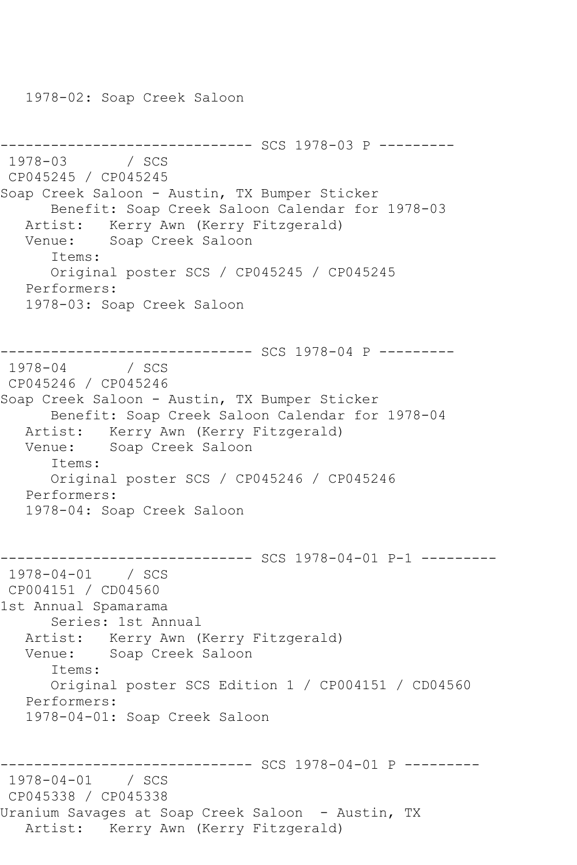1978-02: Soap Creek Saloon

```
-------------------------------- SCS 1978-03 P ---------<br>1978-03    / SCS
1978 - 03CP045245 / CP045245
Soap Creek Saloon - Austin, TX Bumper Sticker
       Benefit: Soap Creek Saloon Calendar for 1978-03
   Artist: Kerry Awn (Kerry Fitzgerald)
   Venue: Soap Creek Saloon
       Items:
       Original poster SCS / CP045245 / CP045245
   Performers:
    1978-03: Soap Creek Saloon
---------------------------------- SCS 1978-04 P ----------<br>1978-04     / SCS
1978 - 04CP045246 / CP045246
Soap Creek Saloon - Austin, TX Bumper Sticker
       Benefit: Soap Creek Saloon Calendar for 1978-04
   Artist: Kerry Awn (Kerry Fitzgerald)
   Venue: Soap Creek Saloon
       Items:
       Original poster SCS / CP045246 / CP045246
   Performers:
    1978-04: Soap Creek Saloon
------------------------------ SCS 1978-04-01 P-1 ---------
1978-04-01 / SCS 
CP004151 / CD04560
1st Annual Spamarama
       Series: 1st Annual
   Artist: Kerry Awn (Kerry Fitzgerald)
   Venue: Soap Creek Saloon
       Items:
       Original poster SCS Edition 1 / CP004151 / CD04560
   Performers:
    1978-04-01: Soap Creek Saloon
  ------------------------------ SCS 1978-04-01 P ---------
1978-04-01 / SCS 
CP045338 / CP045338
Uranium Savages at Soap Creek Saloon - Austin, TX
   Artist: Kerry Awn (Kerry Fitzgerald)
```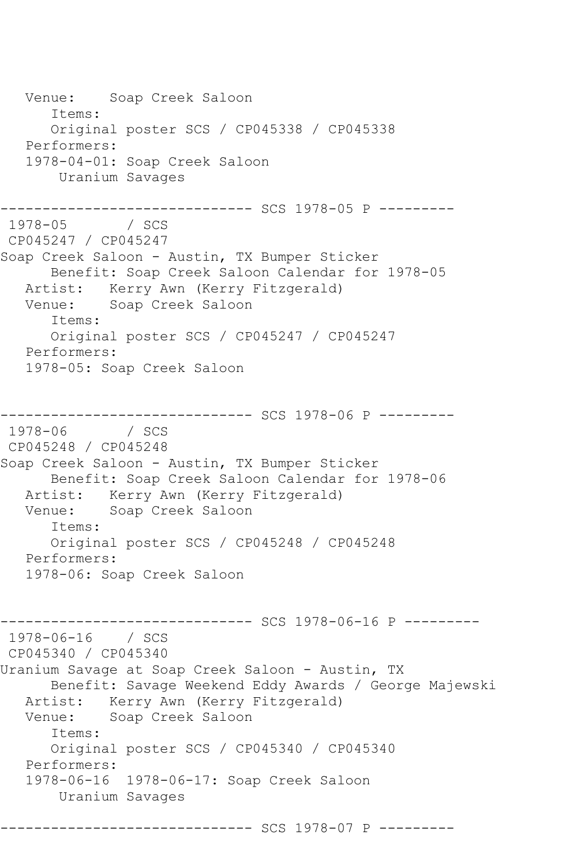Venue: Soap Creek Saloon Items: Original poster SCS / CP045338 / CP045338 Performers: 1978-04-01: Soap Creek Saloon Uranium Savages ------------------------------ SCS 1978-05 P ---------  $1978 - 05$ CP045247 / CP045247 Soap Creek Saloon - Austin, TX Bumper Sticker Benefit: Soap Creek Saloon Calendar for 1978-05 Artist: Kerry Awn (Kerry Fitzgerald) Venue: Soap Creek Saloon Items: Original poster SCS / CP045247 / CP045247 Performers: 1978-05: Soap Creek Saloon ------------------------------ SCS 1978-06 P --------- 1978-06 / SCS CP045248 / CP045248 Soap Creek Saloon - Austin, TX Bumper Sticker Benefit: Soap Creek Saloon Calendar for 1978-06 Artist: Kerry Awn (Kerry Fitzgerald)<br>Venue: Soap Creek Saloon Soap Creek Saloon Items: Original poster SCS / CP045248 / CP045248 Performers: 1978-06: Soap Creek Saloon ------------------------------ SCS 1978-06-16 P --------- 1978-06-16 / SCS CP045340 / CP045340 Uranium Savage at Soap Creek Saloon - Austin, TX Benefit: Savage Weekend Eddy Awards / George Majewski Artist: Kerry Awn (Kerry Fitzgerald)<br>Venue: Soap Creek Saloon Soap Creek Saloon Items: Original poster SCS / CP045340 / CP045340 Performers: 1978-06-16 1978-06-17: Soap Creek Saloon Uranium Savages ------------------------------ SCS 1978-07 P ---------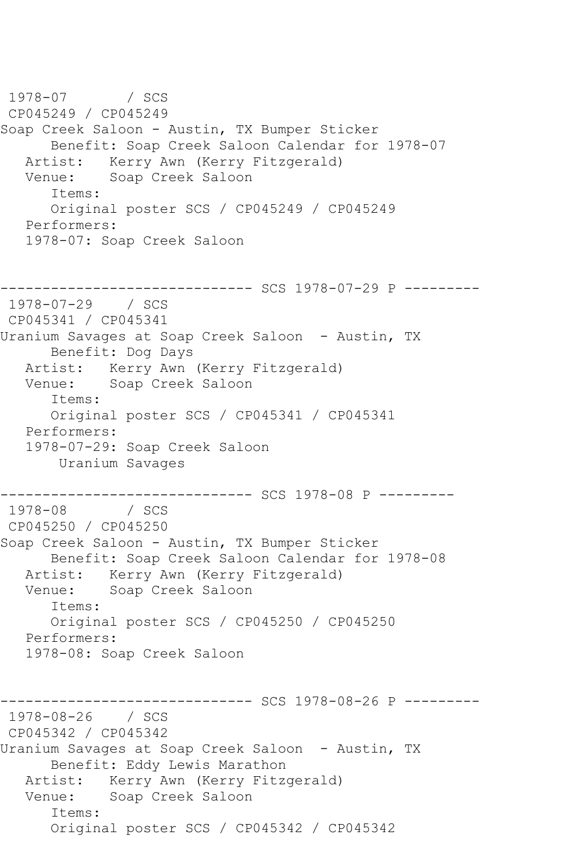1978-07 / SCS CP045249 / CP045249 Soap Creek Saloon - Austin, TX Bumper Sticker Benefit: Soap Creek Saloon Calendar for 1978-07 Artist: Kerry Awn (Kerry Fitzgerald) Venue: Soap Creek Saloon Items: Original poster SCS / CP045249 / CP045249 Performers: 1978-07: Soap Creek Saloon ------------------------------ SCS 1978-07-29 P --------- 1978-07-29 / SCS CP045341 / CP045341 Uranium Savages at Soap Creek Saloon - Austin, TX Benefit: Dog Days Artist: Kerry Awn (Kerry Fitzgerald) Venue: Soap Creek Saloon Items: Original poster SCS / CP045341 / CP045341 Performers: 1978-07-29: Soap Creek Saloon Uranium Savages ------------------------------ SCS 1978-08 P ---------  $1978 - 08$ CP045250 / CP045250 Soap Creek Saloon - Austin, TX Bumper Sticker Benefit: Soap Creek Saloon Calendar for 1978-08 Artist: Kerry Awn (Kerry Fitzgerald)<br>Venue: Soap Creek Saloon Soap Creek Saloon Items: Original poster SCS / CP045250 / CP045250 Performers: 1978-08: Soap Creek Saloon ------------------------------ SCS 1978-08-26 P --------- 1978-08-26 / SCS CP045342 / CP045342 Uranium Savages at Soap Creek Saloon - Austin, TX Benefit: Eddy Lewis Marathon Artist: Kerry Awn (Kerry Fitzgerald) Venue: Soap Creek Saloon Items: Original poster SCS / CP045342 / CP045342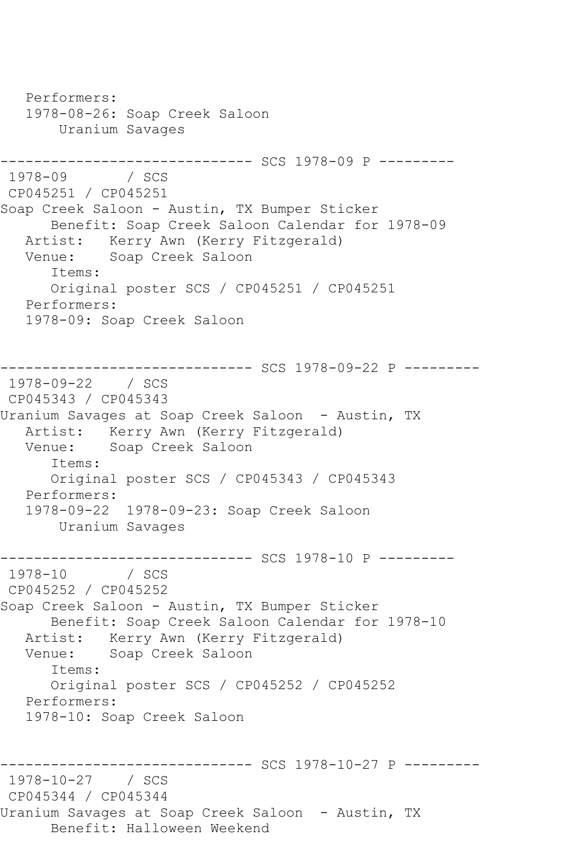Performers: 1978-08-26: Soap Creek Saloon Uranium Savages ------------------------------ SCS 1978-09 P --------- 1978-09 / SCS CP045251 / CP045251 Soap Creek Saloon - Austin, TX Bumper Sticker Benefit: Soap Creek Saloon Calendar for 1978-09 Artist: Kerry Awn (Kerry Fitzgerald)<br>Venue: Soap Creek Saloon Soap Creek Saloon Items: Original poster SCS / CP045251 / CP045251 Performers: 1978-09: Soap Creek Saloon ------------------------------ SCS 1978-09-22 P --------- 1978-09-22 / SCS CP045343 / CP045343 Uranium Savages at Soap Creek Saloon - Austin, TX Artist: Kerry Awn (Kerry Fitzgerald) Venue: Soap Creek Saloon Items: Original poster SCS / CP045343 / CP045343 Performers: 1978-09-22 1978-09-23: Soap Creek Saloon Uranium Savages ---------------------------------- SCS 1978-10 P ---------<br>1978-10 / SCS  $1978 - 10$ CP045252 / CP045252 Soap Creek Saloon - Austin, TX Bumper Sticker Benefit: Soap Creek Saloon Calendar for 1978-10 Artist: Kerry Awn (Kerry Fitzgerald) Venue: Soap Creek Saloon Items: Original poster SCS / CP045252 / CP045252 Performers: 1978-10: Soap Creek Saloon --------------- SCS 1978-10-27 P ---------1978-10-27 / SCS CP045344 / CP045344 Uranium Savages at Soap Creek Saloon - Austin, TX Benefit: Halloween Weekend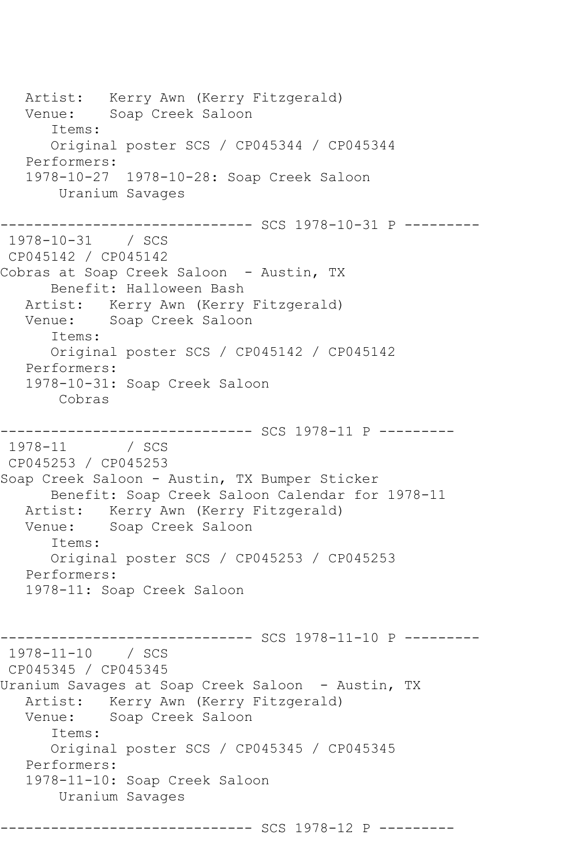Artist: Kerry Awn (Kerry Fitzgerald) Venue: Soap Creek Saloon Items: Original poster SCS / CP045344 / CP045344 Performers: 1978-10-27 1978-10-28: Soap Creek Saloon Uranium Savages ------------------------------ SCS 1978-10-31 P --------- 1978-10-31 / SCS CP045142 / CP045142 Cobras at Soap Creek Saloon - Austin, TX Benefit: Halloween Bash Artist: Kerry Awn (Kerry Fitzgerald) Venue: Soap Creek Saloon Items: Original poster SCS / CP045142 / CP045142 Performers: 1978-10-31: Soap Creek Saloon Cobras ------------------------------ SCS 1978-11 P ---------  $1978 - 11$ CP045253 / CP045253 Soap Creek Saloon - Austin, TX Bumper Sticker Benefit: Soap Creek Saloon Calendar for 1978-11 Artist: Kerry Awn (Kerry Fitzgerald) Venue: Soap Creek Saloon Items: Original poster SCS / CP045253 / CP045253 Performers: 1978-11: Soap Creek Saloon --------- SCS 1978-11-10 P ---------1978-11-10 / SCS CP045345 / CP045345 Uranium Savages at Soap Creek Saloon - Austin, TX Artist: Kerry Awn (Kerry Fitzgerald)<br>Venue: Soap Creek Saloon Soap Creek Saloon Items: Original poster SCS / CP045345 / CP045345 Performers: 1978-11-10: Soap Creek Saloon Uranium Savages ------------------------------ SCS 1978-12 P ---------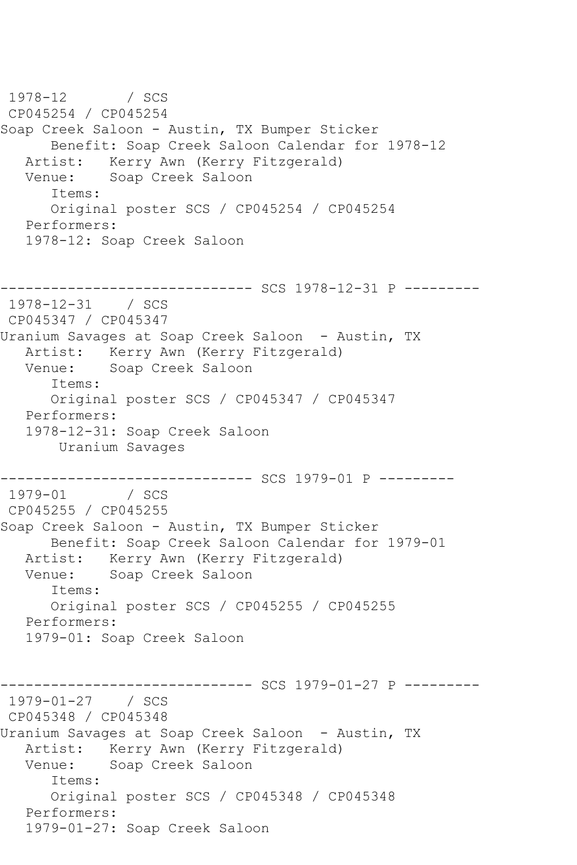1978-12 / SCS CP045254 / CP045254 Soap Creek Saloon - Austin, TX Bumper Sticker Benefit: Soap Creek Saloon Calendar for 1978-12 Artist: Kerry Awn (Kerry Fitzgerald) Venue: Soap Creek Saloon Items: Original poster SCS / CP045254 / CP045254 Performers: 1978-12: Soap Creek Saloon ------------------------------ SCS 1978-12-31 P --------- 1978-12-31 / SCS CP045347 / CP045347 Uranium Savages at Soap Creek Saloon - Austin, TX Artist: Kerry Awn (Kerry Fitzgerald)<br>Venue: Soap Creek Saloon Soap Creek Saloon Items: Original poster SCS / CP045347 / CP045347 Performers: 1978-12-31: Soap Creek Saloon Uranium Savages ------------------------------ SCS 1979-01 P ---------  $1979 - 01$ CP045255 / CP045255 Soap Creek Saloon - Austin, TX Bumper Sticker Benefit: Soap Creek Saloon Calendar for 1979-01 Artist: Kerry Awn (Kerry Fitzgerald) Venue: Soap Creek Saloon Items: Original poster SCS / CP045255 / CP045255 Performers: 1979-01: Soap Creek Saloon ---------- SCS 1979-01-27 P ---------1979-01-27 / SCS CP045348 / CP045348 Uranium Savages at Soap Creek Saloon - Austin, TX Artist: Kerry Awn (Kerry Fitzgerald) Venue: Soap Creek Saloon Items: Original poster SCS / CP045348 / CP045348 Performers: 1979-01-27: Soap Creek Saloon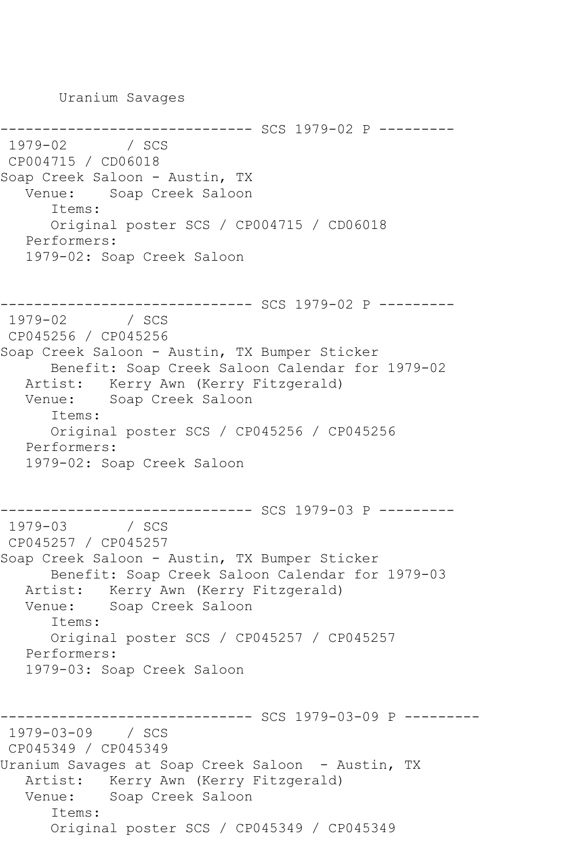Uranium Savages ------------------------------ SCS 1979-02 P --------- 1979-02 CP004715 / CD06018 Soap Creek Saloon - Austin, TX Venue: Soap Creek Saloon Items: Original poster SCS / CP004715 / CD06018 Performers: 1979-02: Soap Creek Saloon --------------------------------- SCS 1979-02 P ---------<br>1979-02 / SCS  $1979 - 02$ CP045256 / CP045256 Soap Creek Saloon - Austin, TX Bumper Sticker Benefit: Soap Creek Saloon Calendar for 1979-02 Artist: Kerry Awn (Kerry Fitzgerald) Venue: Soap Creek Saloon Items: Original poster SCS / CP045256 / CP045256 Performers: 1979-02: Soap Creek Saloon ------------------------------ SCS 1979-03 P --------- 1979-03 / SCS CP045257 / CP045257 Soap Creek Saloon - Austin, TX Bumper Sticker Benefit: Soap Creek Saloon Calendar for 1979-03 Artist: Kerry Awn (Kerry Fitzgerald) Venue: Soap Creek Saloon Items: Original poster SCS / CP045257 / CP045257 Performers: 1979-03: Soap Creek Saloon ------------------------------ SCS 1979-03-09 P --------- 1979-03-09 / SCS CP045349 / CP045349 Uranium Savages at Soap Creek Saloon - Austin, TX Artist: Kerry Awn (Kerry Fitzgerald) Venue: Soap Creek Saloon Items: Original poster SCS / CP045349 / CP045349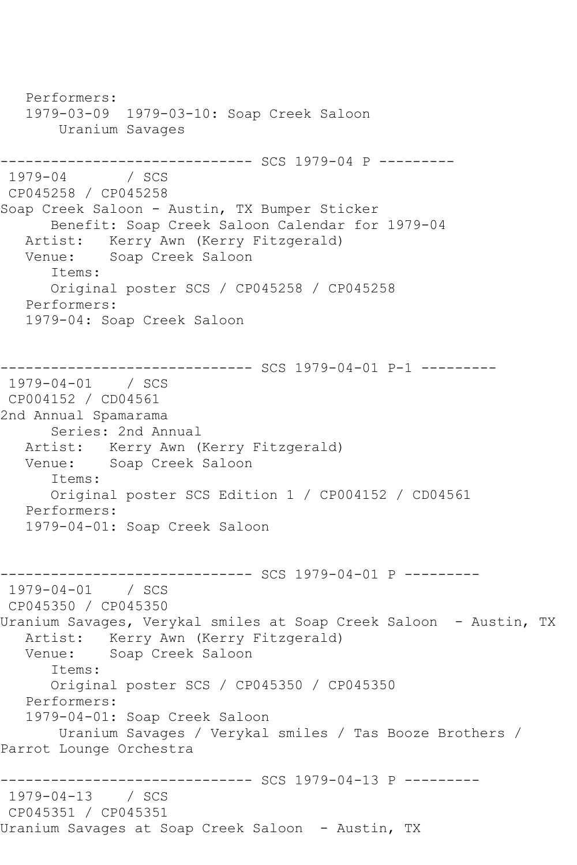Performers: 1979-03-09 1979-03-10: Soap Creek Saloon Uranium Savages ------------------------------ SCS 1979-04 P --------- 1979-04 / SCS CP045258 / CP045258 Soap Creek Saloon - Austin, TX Bumper Sticker Benefit: Soap Creek Saloon Calendar for 1979-04 Artist: Kerry Awn (Kerry Fitzgerald)<br>Venue: Soap Creek Saloon Soap Creek Saloon Items: Original poster SCS / CP045258 / CP045258 Performers: 1979-04: Soap Creek Saloon ------------------------------ SCS 1979-04-01 P-1 --------- 1979-04-01 / SCS CP004152 / CD04561 2nd Annual Spamarama Series: 2nd Annual Artist: Kerry Awn (Kerry Fitzgerald) Venue: Soap Creek Saloon Items: Original poster SCS Edition 1 / CP004152 / CD04561 Performers: 1979-04-01: Soap Creek Saloon ------------------------------ SCS 1979-04-01 P --------- 1979-04-01 / SCS CP045350 / CP045350 Uranium Savages, Verykal smiles at Soap Creek Saloon - Austin, TX Artist: Kerry Awn (Kerry Fitzgerald)<br>Venue: Soap Creek Saloon Soap Creek Saloon Items: Original poster SCS / CP045350 / CP045350 Performers: 1979-04-01: Soap Creek Saloon Uranium Savages / Verykal smiles / Tas Booze Brothers / Parrot Lounge Orchestra ------------ SCS 1979-04-13 P ---------1979-04-13 / SCS CP045351 / CP045351 Uranium Savages at Soap Creek Saloon - Austin, TX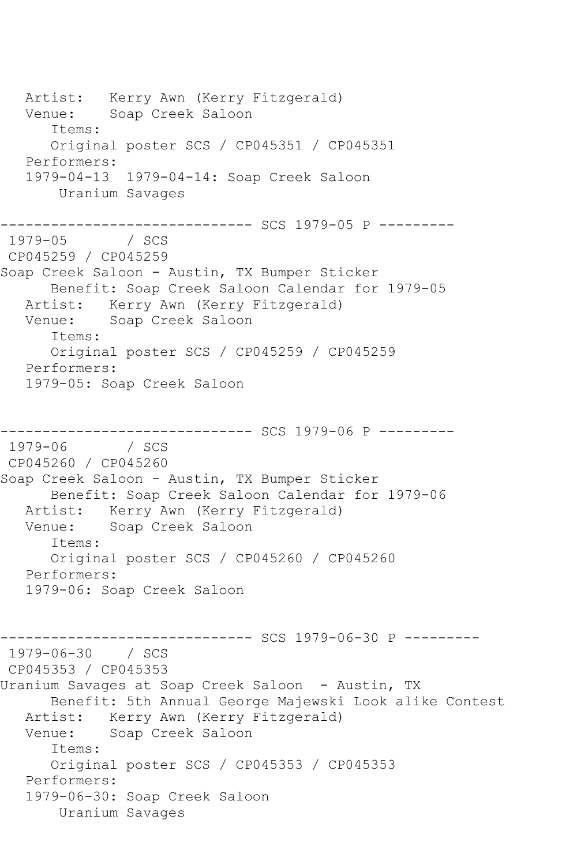Artist: Kerry Awn (Kerry Fitzgerald) Venue: Soap Creek Saloon Items: Original poster SCS / CP045351 / CP045351 Performers: 1979-04-13 1979-04-14: Soap Creek Saloon Uranium Savages ------------------------------ SCS 1979-05 P --------- 1979-05 CP045259 / CP045259 Soap Creek Saloon - Austin, TX Bumper Sticker Benefit: Soap Creek Saloon Calendar for 1979-05 Artist: Kerry Awn (Kerry Fitzgerald) Venue: Soap Creek Saloon Items: Original poster SCS / CP045259 / CP045259 Performers: 1979-05: Soap Creek Saloon ----------------- SCS 1979-06 P ----------<br>/ SCS  $1979 - 06$ CP045260 / CP045260 Soap Creek Saloon - Austin, TX Bumper Sticker Benefit: Soap Creek Saloon Calendar for 1979-06 Artist: Kerry Awn (Kerry Fitzgerald) Venue: Soap Creek Saloon Items: Original poster SCS / CP045260 / CP045260 Performers: 1979-06: Soap Creek Saloon --------- SCS 1979-06-30 P ---------1979-06-30 / SCS CP045353 / CP045353 Uranium Savages at Soap Creek Saloon - Austin, TX Benefit: 5th Annual George Majewski Look alike Contest Artist: Kerry Awn (Kerry Fitzgerald) Venue: Soap Creek Saloon Items: Original poster SCS / CP045353 / CP045353 Performers: 1979-06-30: Soap Creek Saloon Uranium Savages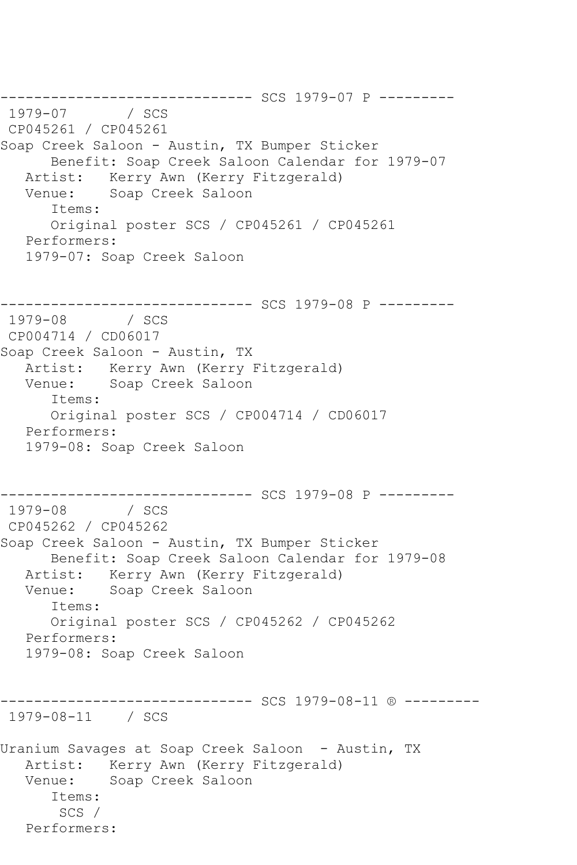--------------------------------- SCS 1979-07 P ---------<br>1979-07 / SCS  $1979 - 07$ CP045261 / CP045261 Soap Creek Saloon - Austin, TX Bumper Sticker Benefit: Soap Creek Saloon Calendar for 1979-07 Artist: Kerry Awn (Kerry Fitzgerald) Venue: Soap Creek Saloon Items: Original poster SCS / CP045261 / CP045261 Performers: 1979-07: Soap Creek Saloon --------------------------------- SCS 1979-08 P ---------<br>1979-08 / SCS  $1979 - 08$ CP004714 / CD06017 Soap Creek Saloon - Austin, TX Artist: Kerry Awn (Kerry Fitzgerald) Venue: Soap Creek Saloon Items: Original poster SCS / CP004714 / CD06017 Performers: 1979-08: Soap Creek Saloon ------------------------------ SCS 1979-08 P --------- 1979-08 / SCS CP045262 / CP045262 Soap Creek Saloon - Austin, TX Bumper Sticker Benefit: Soap Creek Saloon Calendar for 1979-08 Artist: Kerry Awn (Kerry Fitzgerald) Venue: Soap Creek Saloon Items: Original poster SCS / CP045262 / CP045262 Performers: 1979-08: Soap Creek Saloon ------------------------------ SCS 1979-08-11 ® --------- 1979-08-11 / SCS Uranium Savages at Soap Creek Saloon - Austin, TX Artist: Kerry Awn (Kerry Fitzgerald) Venue: Soap Creek Saloon Items: SCS / Performers: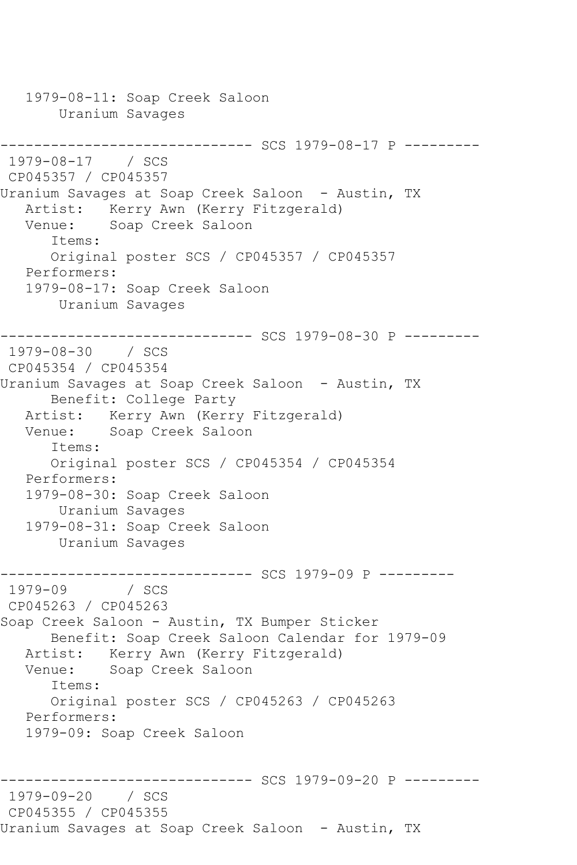1979-08-11: Soap Creek Saloon Uranium Savages ------------------------------ SCS 1979-08-17 P --------- 1979-08-17 / SCS CP045357 / CP045357 Uranium Savages at Soap Creek Saloon - Austin, TX Artist: Kerry Awn (Kerry Fitzgerald) Venue: Soap Creek Saloon Items: Original poster SCS / CP045357 / CP045357 Performers: 1979-08-17: Soap Creek Saloon Uranium Savages ----------------------- SCS 1979-08-30 P ---------1979-08-30 / SCS CP045354 / CP045354 Uranium Savages at Soap Creek Saloon - Austin, TX Benefit: College Party Artist: Kerry Awn (Kerry Fitzgerald) Venue: Soap Creek Saloon Items: Original poster SCS / CP045354 / CP045354 Performers: 1979-08-30: Soap Creek Saloon Uranium Savages 1979-08-31: Soap Creek Saloon Uranium Savages ------------------------------ SCS 1979-09 P --------- 1979-09 CP045263 / CP045263 Soap Creek Saloon - Austin, TX Bumper Sticker Benefit: Soap Creek Saloon Calendar for 1979-09 Artist: Kerry Awn (Kerry Fitzgerald) Venue: Soap Creek Saloon Items: Original poster SCS / CP045263 / CP045263 Performers: 1979-09: Soap Creek Saloon ------------------------------ SCS 1979-09-20 P --------- 1979-09-20 / SCS CP045355 / CP045355 Uranium Savages at Soap Creek Saloon - Austin, TX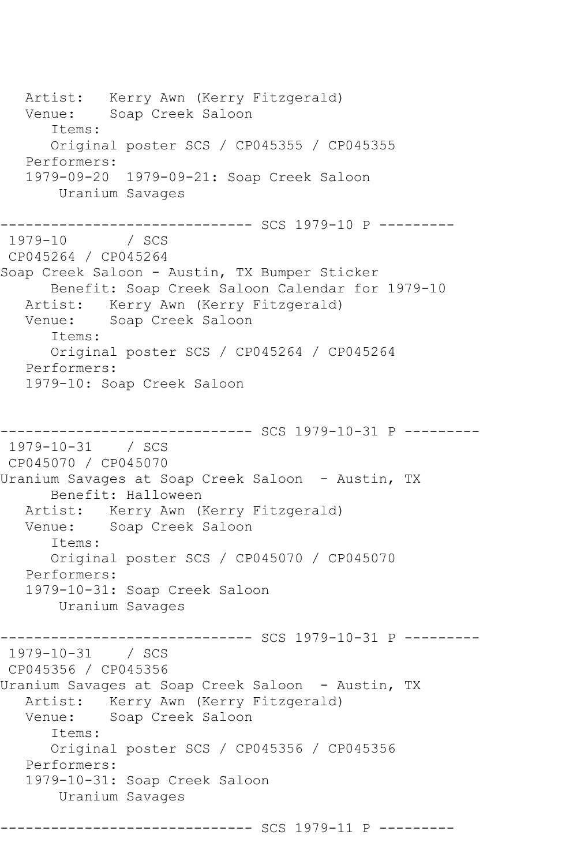Artist: Kerry Awn (Kerry Fitzgerald) Venue: Soap Creek Saloon Items: Original poster SCS / CP045355 / CP045355 Performers: 1979-09-20 1979-09-21: Soap Creek Saloon Uranium Savages ------------------------------ SCS 1979-10 P --------- 1979-10 CP045264 / CP045264 Soap Creek Saloon - Austin, TX Bumper Sticker Benefit: Soap Creek Saloon Calendar for 1979-10 Artist: Kerry Awn (Kerry Fitzgerald) Venue: Soap Creek Saloon Items: Original poster SCS / CP045264 / CP045264 Performers: 1979-10: Soap Creek Saloon ---------- SCS 1979-10-31 P ---------1979-10-31 / SCS CP045070 / CP045070 Uranium Savages at Soap Creek Saloon - Austin, TX Benefit: Halloween Artist: Kerry Awn (Kerry Fitzgerald)<br>Venue: Soap Creek Saloon Soap Creek Saloon Items: Original poster SCS / CP045070 / CP045070 Performers: 1979-10-31: Soap Creek Saloon Uranium Savages ---------- SCS 1979-10-31 P ---------1979-10-31 / SCS CP045356 / CP045356 Uranium Savages at Soap Creek Saloon - Austin, TX Artist: Kerry Awn (Kerry Fitzgerald)<br>Venue: Soap Creek Saloon Soap Creek Saloon Items: Original poster SCS / CP045356 / CP045356 Performers: 1979-10-31: Soap Creek Saloon Uranium Savages ------------------------------ SCS 1979-11 P ---------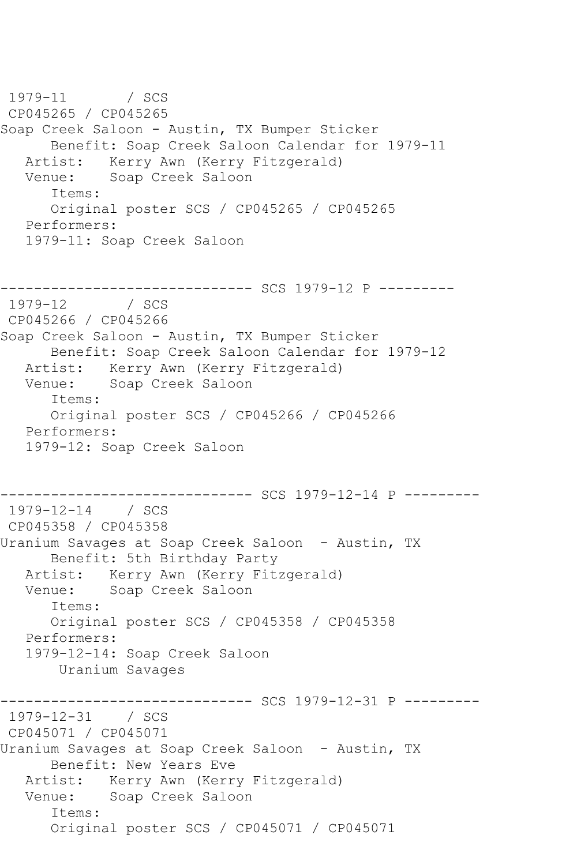1979-11 / SCS CP045265 / CP045265 Soap Creek Saloon - Austin, TX Bumper Sticker Benefit: Soap Creek Saloon Calendar for 1979-11 Artist: Kerry Awn (Kerry Fitzgerald) Venue: Soap Creek Saloon Items: Original poster SCS / CP045265 / CP045265 Performers: 1979-11: Soap Creek Saloon ----------- SCS 1979-12 P ---------1979-12 / SCS CP045266 / CP045266 Soap Creek Saloon - Austin, TX Bumper Sticker Benefit: Soap Creek Saloon Calendar for 1979-12 Artist: Kerry Awn (Kerry Fitzgerald) Venue: Soap Creek Saloon Items: Original poster SCS / CP045266 / CP045266 Performers: 1979-12: Soap Creek Saloon ------------------------------ SCS 1979-12-14 P --------- 1979-12-14 / SCS CP045358 / CP045358 Uranium Savages at Soap Creek Saloon - Austin, TX Benefit: 5th Birthday Party Artist: Kerry Awn (Kerry Fitzgerald) Venue: Soap Creek Saloon Items: Original poster SCS / CP045358 / CP045358 Performers: 1979-12-14: Soap Creek Saloon Uranium Savages ------------------------------ SCS 1979-12-31 P --------- 1979-12-31 / SCS CP045071 / CP045071 Uranium Savages at Soap Creek Saloon - Austin, TX Benefit: New Years Eve Artist: Kerry Awn (Kerry Fitzgerald) Venue: Soap Creek Saloon Items: Original poster SCS / CP045071 / CP045071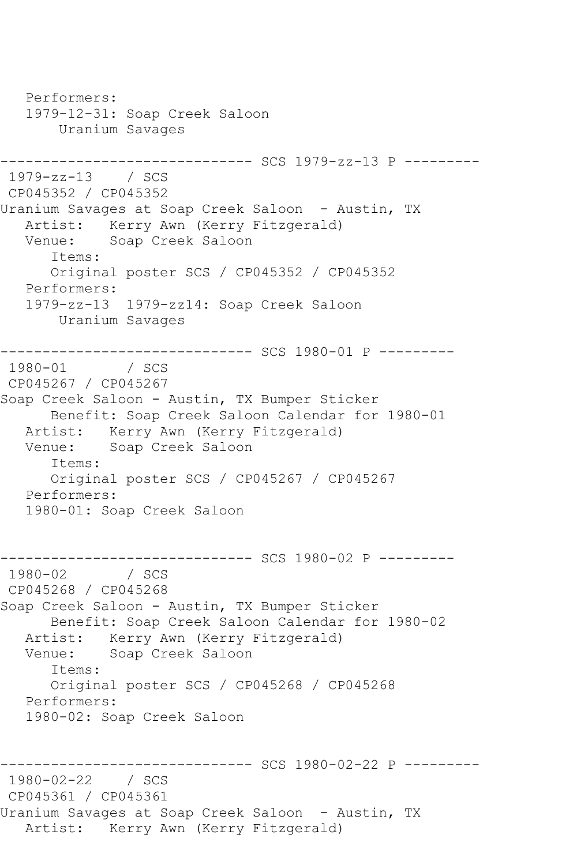Performers: 1979-12-31: Soap Creek Saloon Uranium Savages ------------------------------ SCS 1979-zz-13 P --------- 1979-zz-13 / SCS CP045352 / CP045352 Uranium Savages at Soap Creek Saloon - Austin, TX Artist: Kerry Awn (Kerry Fitzgerald) Venue: Soap Creek Saloon Items: Original poster SCS / CP045352 / CP045352 Performers: 1979-zz-13 1979-zz14: Soap Creek Saloon Uranium Savages ---------------------------------- SCS 1980-01 P ----------<br>1980-01 / SCS  $1980 - 01$ CP045267 / CP045267 Soap Creek Saloon - Austin, TX Bumper Sticker Benefit: Soap Creek Saloon Calendar for 1980-01 Artist: Kerry Awn (Kerry Fitzgerald) Venue: Soap Creek Saloon Items: Original poster SCS / CP045267 / CP045267 Performers: 1980-01: Soap Creek Saloon --------------------------------- SCS 1980-02 P ----------<br>1980-02 / SCS  $1980 - 02$ CP045268 / CP045268 Soap Creek Saloon - Austin, TX Bumper Sticker Benefit: Soap Creek Saloon Calendar for 1980-02 Artist: Kerry Awn (Kerry Fitzgerald)<br>Venue: Soap Creek Saloon Soap Creek Saloon Items: Original poster SCS / CP045268 / CP045268 Performers: 1980-02: Soap Creek Saloon ------------------------------ SCS 1980-02-22 P --------- 1980-02-22 / SCS CP045361 / CP045361 Uranium Savages at Soap Creek Saloon - Austin, TX Artist: Kerry Awn (Kerry Fitzgerald)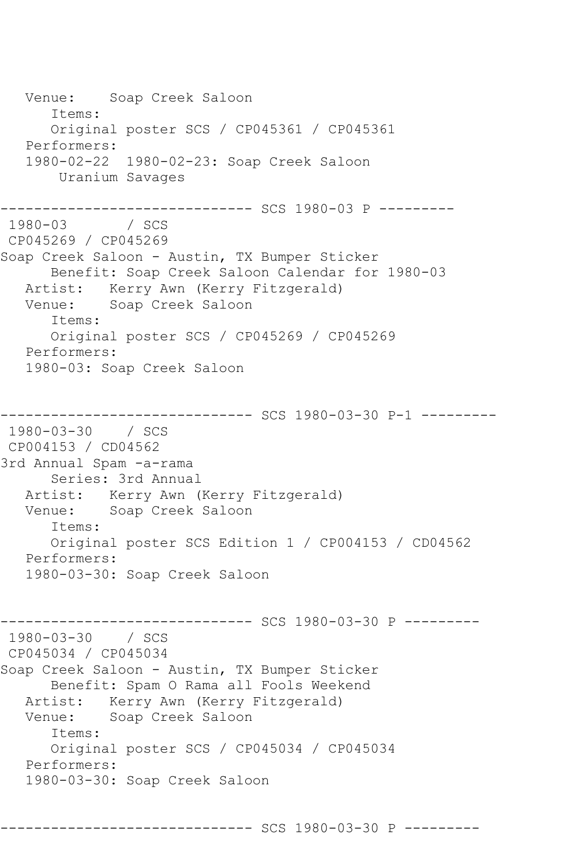Venue: Soap Creek Saloon Items: Original poster SCS / CP045361 / CP045361 Performers: 1980-02-22 1980-02-23: Soap Creek Saloon Uranium Savages ------------------------------ SCS 1980-03 P --------- 1980-03 / SCS CP045269 / CP045269 Soap Creek Saloon - Austin, TX Bumper Sticker Benefit: Soap Creek Saloon Calendar for 1980-03 Artist: Kerry Awn (Kerry Fitzgerald) Venue: Soap Creek Saloon Items: Original poster SCS / CP045269 / CP045269 Performers: 1980-03: Soap Creek Saloon ------------------------------ SCS 1980-03-30 P-1 --------- 1980-03-30 / SCS CP004153 / CD04562 3rd Annual Spam -a-rama Series: 3rd Annual Artist: Kerry Awn (Kerry Fitzgerald) Venue: Soap Creek Saloon Items: Original poster SCS Edition 1 / CP004153 / CD04562 Performers: 1980-03-30: Soap Creek Saloon ------------------------------ SCS 1980-03-30 P --------- 1980-03-30 / SCS CP045034 / CP045034 Soap Creek Saloon - Austin, TX Bumper Sticker Benefit: Spam O Rama all Fools Weekend Artist: Kerry Awn (Kerry Fitzgerald)<br>Venue: Soap Creek Saloon Soap Creek Saloon Items: Original poster SCS / CP045034 / CP045034 Performers: 1980-03-30: Soap Creek Saloon

------------------------------ SCS 1980-03-30 P ---------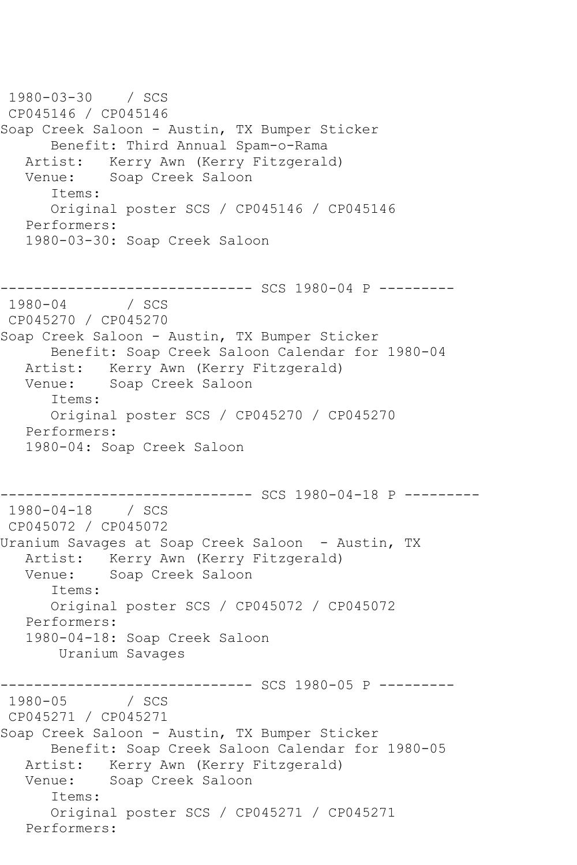1980-03-30 / SCS CP045146 / CP045146 Soap Creek Saloon - Austin, TX Bumper Sticker Benefit: Third Annual Spam-o-Rama Artist: Kerry Awn (Kerry Fitzgerald) Venue: Soap Creek Saloon Items: Original poster SCS / CP045146 / CP045146 Performers: 1980-03-30: Soap Creek Saloon ------------ SCS 1980-04 P ---------1980-04 / SCS CP045270 / CP045270 Soap Creek Saloon - Austin, TX Bumper Sticker Benefit: Soap Creek Saloon Calendar for 1980-04 Artist: Kerry Awn (Kerry Fitzgerald) Venue: Soap Creek Saloon Items: Original poster SCS / CP045270 / CP045270 Performers: 1980-04: Soap Creek Saloon ------------------------------ SCS 1980-04-18 P --------- 1980-04-18 / SCS CP045072 / CP045072 Uranium Savages at Soap Creek Saloon - Austin, TX Artist: Kerry Awn (Kerry Fitzgerald)<br>Venue: Soap Creek Saloon Soap Creek Saloon Items: Original poster SCS / CP045072 / CP045072 Performers: 1980-04-18: Soap Creek Saloon Uranium Savages ------------------------------ SCS 1980-05 P ---------  $1980 - 05$ CP045271 / CP045271 Soap Creek Saloon - Austin, TX Bumper Sticker Benefit: Soap Creek Saloon Calendar for 1980-05 Artist: Kerry Awn (Kerry Fitzgerald) Venue: Soap Creek Saloon Items: Original poster SCS / CP045271 / CP045271 Performers: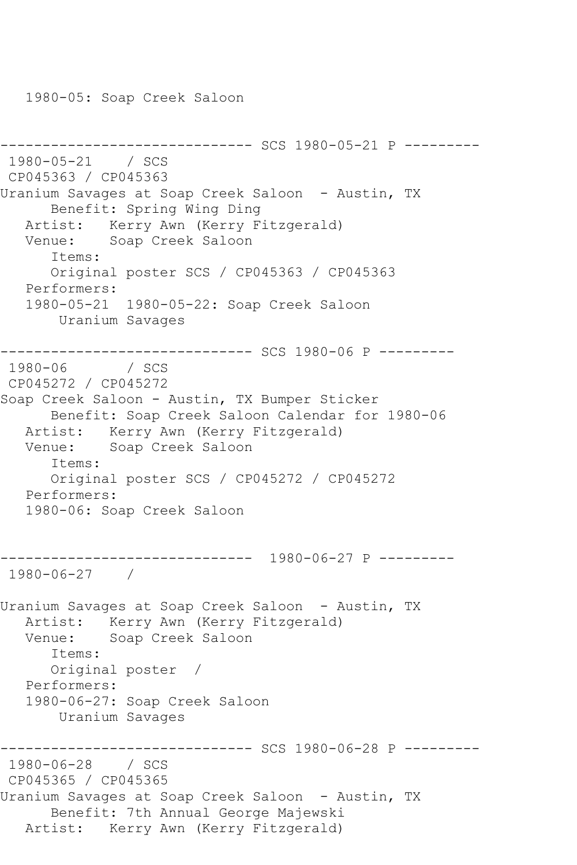1980-05: Soap Creek Saloon

```
------------------------------ SCS 1980-05-21 P ---------
1980-05-21 / SCS 
CP045363 / CP045363
Uranium Savages at Soap Creek Saloon - Austin, TX
      Benefit: Spring Wing Ding
   Artist: Kerry Awn (Kerry Fitzgerald)
   Venue: Soap Creek Saloon
      Items:
      Original poster SCS / CP045363 / CP045363
   Performers:
   1980-05-21 1980-05-22: Soap Creek Saloon
       Uranium Savages
------------------------------ SCS 1980-06 P ---------
1980-06 / SCS 
CP045272 / CP045272
Soap Creek Saloon - Austin, TX Bumper Sticker
      Benefit: Soap Creek Saloon Calendar for 1980-06
   Artist: Kerry Awn (Kerry Fitzgerald)
   Venue: Soap Creek Saloon
      Items:
      Original poster SCS / CP045272 / CP045272
   Performers:
   1980-06: Soap Creek Saloon
------------------------------ 1980-06-27 P ---------
1980-06-27 / 
Uranium Savages at Soap Creek Saloon - Austin, TX
   Artist: Kerry Awn (Kerry Fitzgerald)
   Venue: Soap Creek Saloon
      Items:
      Original poster / 
   Performers:
   1980-06-27: Soap Creek Saloon
       Uranium Savages
------------------------------ SCS 1980-06-28 P ---------
1980-06-28 / SCS 
CP045365 / CP045365
Uranium Savages at Soap Creek Saloon - Austin, TX
      Benefit: 7th Annual George Majewski
   Artist: Kerry Awn (Kerry Fitzgerald)
```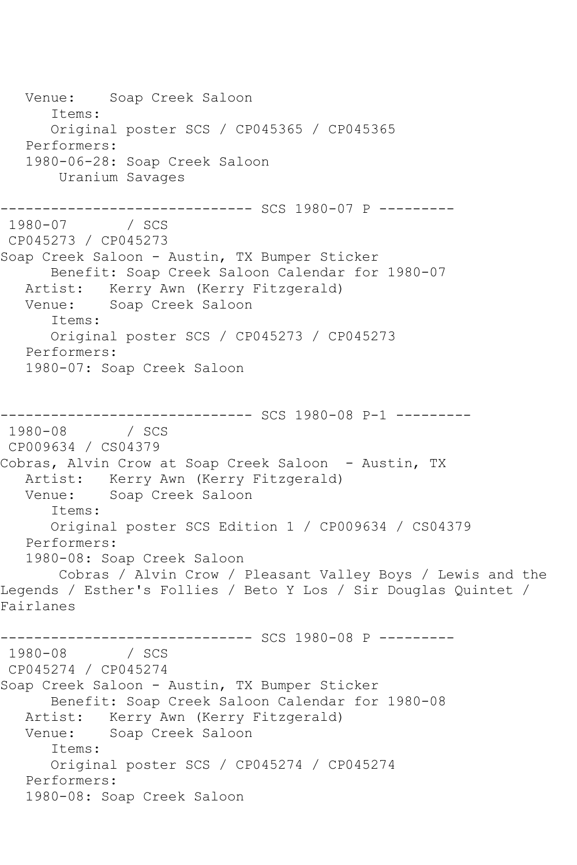Venue: Soap Creek Saloon Items: Original poster SCS / CP045365 / CP045365 Performers: 1980-06-28: Soap Creek Saloon Uranium Savages ------------------------------ SCS 1980-07 P ---------  $1980 - 07$ CP045273 / CP045273 Soap Creek Saloon - Austin, TX Bumper Sticker Benefit: Soap Creek Saloon Calendar for 1980-07 Artist: Kerry Awn (Kerry Fitzgerald) Venue: Soap Creek Saloon Items: Original poster SCS / CP045273 / CP045273 Performers: 1980-07: Soap Creek Saloon ----------------------------- SCS 1980-08 P-1 ---------1980-08 / SCS CP009634 / CS04379 Cobras, Alvin Crow at Soap Creek Saloon - Austin, TX Artist: Kerry Awn (Kerry Fitzgerald)<br>Venue: Soap Creek Saloon Soap Creek Saloon Items: Original poster SCS Edition 1 / CP009634 / CS04379 Performers: 1980-08: Soap Creek Saloon Cobras / Alvin Crow / Pleasant Valley Boys / Lewis and the Legends / Esther's Follies / Beto Y Los / Sir Douglas Quintet / Fairlanes ----------------- SCS 1980-08 P ---------<br>/ SCS  $1980 - 08$ CP045274 / CP045274 Soap Creek Saloon - Austin, TX Bumper Sticker Benefit: Soap Creek Saloon Calendar for 1980-08 Artist: Kerry Awn (Kerry Fitzgerald) Venue: Soap Creek Saloon Items: Original poster SCS / CP045274 / CP045274 Performers: 1980-08: Soap Creek Saloon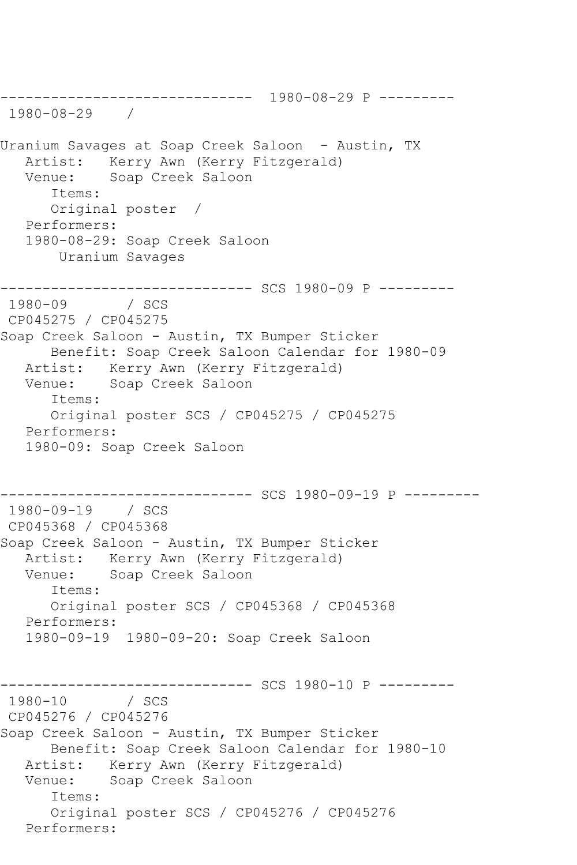------------------------------ 1980-08-29 P --------- 1980-08-29 / Uranium Savages at Soap Creek Saloon - Austin, TX Artist: Kerry Awn (Kerry Fitzgerald) Venue: Soap Creek Saloon Items: Original poster / Performers: 1980-08-29: Soap Creek Saloon Uranium Savages ------------------------------ SCS 1980-09 P --------- 1980-09 / SCS CP045275 / CP045275 Soap Creek Saloon - Austin, TX Bumper Sticker Benefit: Soap Creek Saloon Calendar for 1980-09 Artist: Kerry Awn (Kerry Fitzgerald) Venue: Soap Creek Saloon Items: Original poster SCS / CP045275 / CP045275 Performers: 1980-09: Soap Creek Saloon ------------------------------ SCS 1980-09-19 P --------- 1980-09-19 / SCS CP045368 / CP045368 Soap Creek Saloon - Austin, TX Bumper Sticker Artist: Kerry Awn (Kerry Fitzgerald)<br>Venue: Soap Creek Saloon Soap Creek Saloon Items: Original poster SCS / CP045368 / CP045368 Performers: 1980-09-19 1980-09-20: Soap Creek Saloon ------------------------------ SCS 1980-10 P ---------  $1980 - 10$ CP045276 / CP045276 Soap Creek Saloon - Austin, TX Bumper Sticker Benefit: Soap Creek Saloon Calendar for 1980-10 Artist: Kerry Awn (Kerry Fitzgerald) Venue: Soap Creek Saloon Items: Original poster SCS / CP045276 / CP045276 Performers: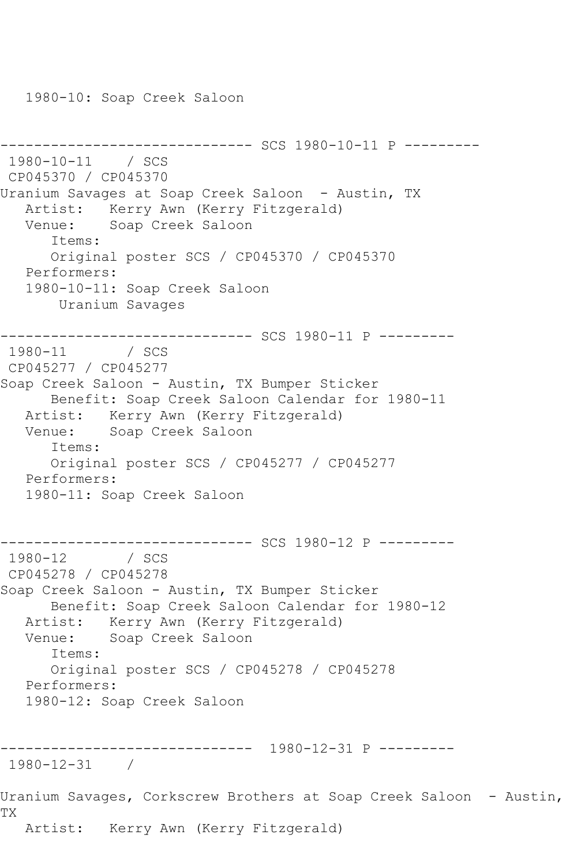1980-10: Soap Creek Saloon

```
------------------------------ SCS 1980-10-11 P ---------
1980-10-11 / SCS 
CP045370 / CP045370
Uranium Savages at Soap Creek Saloon - Austin, TX
   Artist: Kerry Awn (Kerry Fitzgerald)
   Venue: Soap Creek Saloon
       Items:
       Original poster SCS / CP045370 / CP045370
   Performers:
   1980-10-11: Soap Creek Saloon
       Uranium Savages
    ------------------------------ SCS 1980-11 P ---------
1980-11 / SCS 
CP045277 / CP045277
Soap Creek Saloon - Austin, TX Bumper Sticker
      Benefit: Soap Creek Saloon Calendar for 1980-11
   Artist: Kerry Awn (Kerry Fitzgerald)
   Venue: Soap Creek Saloon
      Items:
       Original poster SCS / CP045277 / CP045277
   Performers:
   1980-11: Soap Creek Saloon
                    ------------------------------ SCS 1980-12 P ---------
1980-12 / SCS 
CP045278 / CP045278
Soap Creek Saloon - Austin, TX Bumper Sticker
      Benefit: Soap Creek Saloon Calendar for 1980-12
   Artist: Kerry Awn (Kerry Fitzgerald)
   Venue: Soap Creek Saloon
       Items:
      Original poster SCS / CP045278 / CP045278
   Performers:
   1980-12: Soap Creek Saloon
------------------------------ 1980-12-31 P ---------
1980-12-31 / 
Uranium Savages, Corkscrew Brothers at Soap Creek Saloon - Austin,
TX
   Artist: Kerry Awn (Kerry Fitzgerald)
```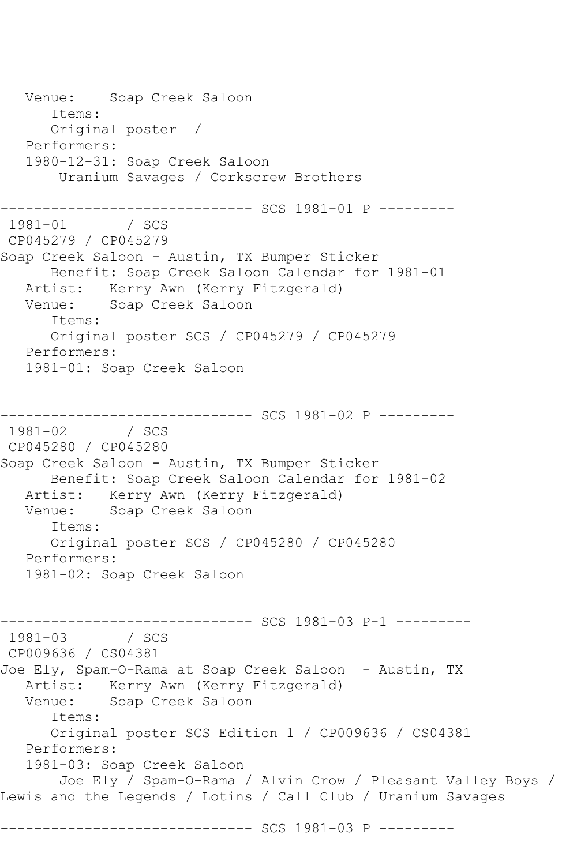Venue: Soap Creek Saloon Items: Original poster / Performers: 1980-12-31: Soap Creek Saloon Uranium Savages / Corkscrew Brothers ---------------------------------- SCS 1981-01 P ---------<br>1981-01 / SCS  $1981 - 01$ CP045279 / CP045279 Soap Creek Saloon - Austin, TX Bumper Sticker Benefit: Soap Creek Saloon Calendar for 1981-01 Artist: Kerry Awn (Kerry Fitzgerald) Venue: Soap Creek Saloon Items: Original poster SCS / CP045279 / CP045279 Performers: 1981-01: Soap Creek Saloon ------------------------------ SCS 1981-02 P --------- 1981-02 / SCS CP045280 / CP045280 Soap Creek Saloon - Austin, TX Bumper Sticker Benefit: Soap Creek Saloon Calendar for 1981-02 Artist: Kerry Awn (Kerry Fitzgerald) Venue: Soap Creek Saloon Items: Original poster SCS / CP045280 / CP045280 Performers: 1981-02: Soap Creek Saloon ------------------------------ SCS 1981-03 P-1 --------- 1981-03 / SCS CP009636 / CS04381 Joe Ely, Spam-O-Rama at Soap Creek Saloon - Austin, TX Artist: Kerry Awn (Kerry Fitzgerald) Venue: Soap Creek Saloon Items: Original poster SCS Edition 1 / CP009636 / CS04381 Performers: 1981-03: Soap Creek Saloon Joe Ely / Spam-O-Rama / Alvin Crow / Pleasant Valley Boys / Lewis and the Legends / Lotins / Call Club / Uranium Savages ------------------------------ SCS 1981-03 P ---------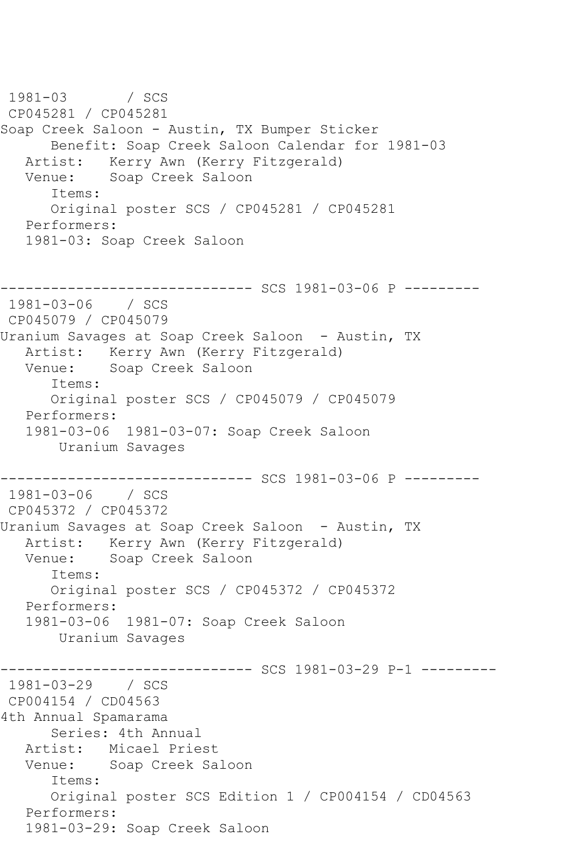1981-03 / SCS CP045281 / CP045281 Soap Creek Saloon - Austin, TX Bumper Sticker Benefit: Soap Creek Saloon Calendar for 1981-03 Artist: Kerry Awn (Kerry Fitzgerald) Venue: Soap Creek Saloon Items: Original poster SCS / CP045281 / CP045281 Performers: 1981-03: Soap Creek Saloon ------------------------------ SCS 1981-03-06 P --------- 1981-03-06 / SCS CP045079 / CP045079 Uranium Savages at Soap Creek Saloon - Austin, TX Artist: Kerry Awn (Kerry Fitzgerald)<br>Venue: Soap Creek Saloon Soap Creek Saloon Items: Original poster SCS / CP045079 / CP045079 Performers: 1981-03-06 1981-03-07: Soap Creek Saloon Uranium Savages ------------------------------ SCS 1981-03-06 P --------- 1981-03-06 / SCS CP045372 / CP045372 Uranium Savages at Soap Creek Saloon - Austin, TX Artist: Kerry Awn (Kerry Fitzgerald) Venue: Soap Creek Saloon Items: Original poster SCS / CP045372 / CP045372 Performers: 1981-03-06 1981-07: Soap Creek Saloon Uranium Savages ------------------------------ SCS 1981-03-29 P-1 --------- 1981-03-29 / SCS CP004154 / CD04563 4th Annual Spamarama Series: 4th Annual Artist: Micael Priest Venue: Soap Creek Saloon Items: Original poster SCS Edition 1 / CP004154 / CD04563 Performers: 1981-03-29: Soap Creek Saloon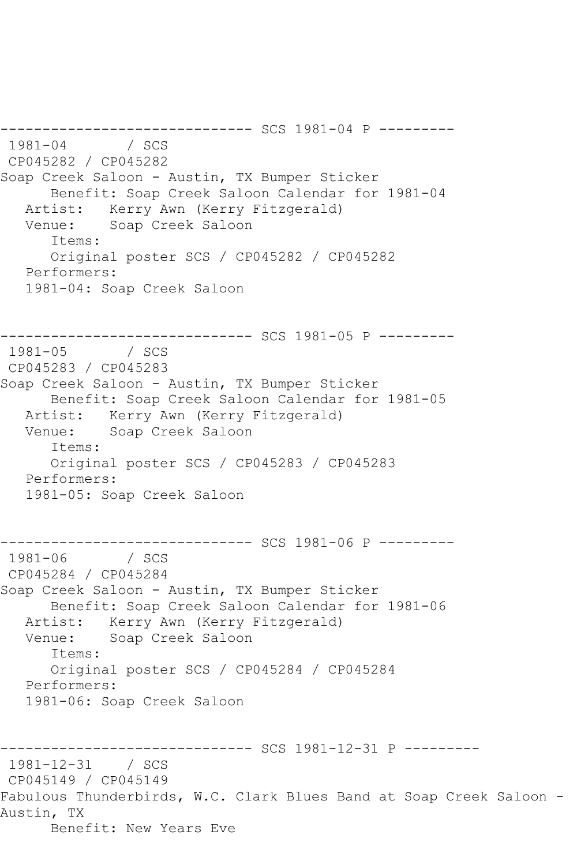------------------------------ SCS 1981-04 P --------- 1981-1982 / SCS CP045282 / CP045282 Soap Creek Saloon - Austin, TX Bumper Sticker Benefit: Soap Creek Saloon Calendar for 1981-04 Artist: Kerry Awn (Kerry Fitzgerald) Venue: Soap Creek Saloon Items: Original poster SCS / CP045282 / CP045282 Performers: 1981-04: Soap Creek Saloon --------- SCS 1981-05 P ---------1981-05 / SCS CP045283 / CP045283 Soap Creek Saloon - Austin, TX Bumper Sticker Benefit: Soap Creek Saloon Calendar for 1981-05 Artist: Kerry Awn (Kerry Fitzgerald) Venue: Soap Creek Saloon Items: Original poster SCS / CP045283 / CP045283 Performers: 1981-05: Soap Creek Saloon ---------- SCS 1981-06 P ---------1981-06 / SCS CP045284 / CP045284 Soap Creek Saloon - Austin, TX Bumper Sticker Benefit: Soap Creek Saloon Calendar for 1981-06 Artist: Kerry Awn (Kerry Fitzgerald) Venue: Soap Creek Saloon Items: Original poster SCS / CP045284 / CP045284 Performers: 1981-06: Soap Creek Saloon ------------------------------ SCS 1981-12-31 P --------- 1981-12-31 / SCS CP045149 / CP045149 Fabulous Thunderbirds, W.C. Clark Blues Band at Soap Creek Saloon - Austin, TX Benefit: New Years Eve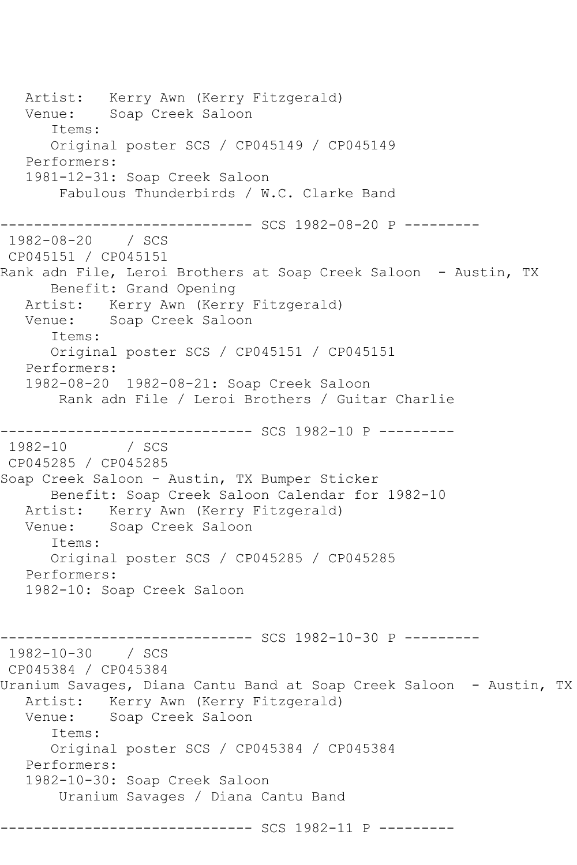Artist: Kerry Awn (Kerry Fitzgerald) Venue: Soap Creek Saloon Items: Original poster SCS / CP045149 / CP045149 Performers: 1981-12-31: Soap Creek Saloon Fabulous Thunderbirds / W.C. Clarke Band ------------ SCS 1982-08-20 P ----------1982-08-20 / SCS CP045151 / CP045151 Rank adn File, Leroi Brothers at Soap Creek Saloon - Austin, TX Benefit: Grand Opening Artist: Kerry Awn (Kerry Fitzgerald) Venue: Soap Creek Saloon Items: Original poster SCS / CP045151 / CP045151 Performers: 1982-08-20 1982-08-21: Soap Creek Saloon Rank adn File / Leroi Brothers / Guitar Charlie ----------------- SCS 1982-10 P ----------<br>/ SCS  $1982 - 10$ CP045285 / CP045285 Soap Creek Saloon - Austin, TX Bumper Sticker Benefit: Soap Creek Saloon Calendar for 1982-10 Artist: Kerry Awn (Kerry Fitzgerald) Venue: Soap Creek Saloon Items: Original poster SCS / CP045285 / CP045285 Performers: 1982-10: Soap Creek Saloon --------- SCS 1982-10-30 P ---------1982-10-30 / SCS CP045384 / CP045384 Uranium Savages, Diana Cantu Band at Soap Creek Saloon - Austin, TX Artist: Kerry Awn (Kerry Fitzgerald)<br>Venue: Soap Creek Saloon Soap Creek Saloon Items: Original poster SCS / CP045384 / CP045384 Performers: 1982-10-30: Soap Creek Saloon Uranium Savages / Diana Cantu Band --------- SCS 1982-11 P ---------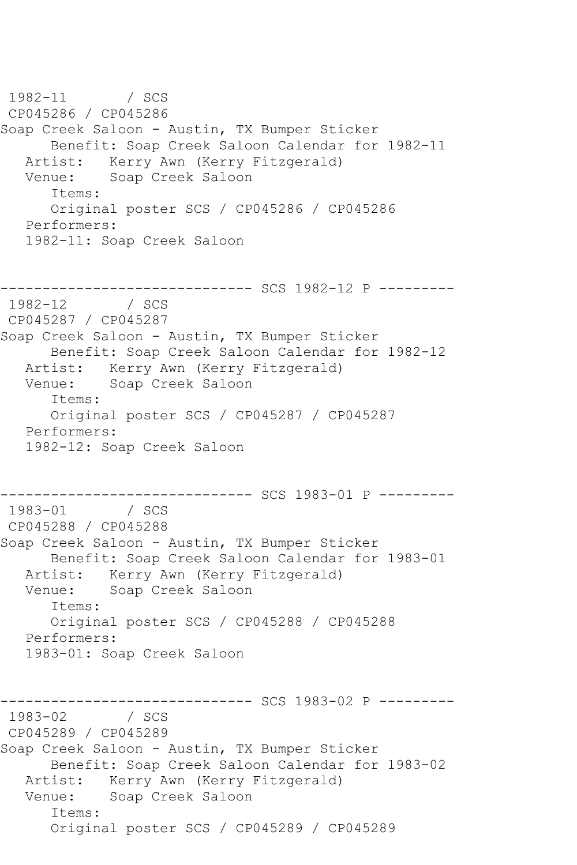1982-11 / SCS CP045286 / CP045286 Soap Creek Saloon - Austin, TX Bumper Sticker Benefit: Soap Creek Saloon Calendar for 1982-11 Artist: Kerry Awn (Kerry Fitzgerald) Venue: Soap Creek Saloon Items: Original poster SCS / CP045286 / CP045286 Performers: 1982-11: Soap Creek Saloon ----------- SCS 1982-12 P ---------1982-12 / SCS CP045287 / CP045287 Soap Creek Saloon - Austin, TX Bumper Sticker Benefit: Soap Creek Saloon Calendar for 1982-12 Artist: Kerry Awn (Kerry Fitzgerald) Venue: Soap Creek Saloon Items: Original poster SCS / CP045287 / CP045287 Performers: 1982-12: Soap Creek Saloon -------------------------------- SCS 1983-01 P ---------<br>1983-01 / SCS / SCS CP045288 / CP045288 Soap Creek Saloon - Austin, TX Bumper Sticker Benefit: Soap Creek Saloon Calendar for 1983-01 Artist: Kerry Awn (Kerry Fitzgerald)<br>Venue: Soap Creek Saloon Soap Creek Saloon Items: Original poster SCS / CP045288 / CP045288 Performers: 1983-01: Soap Creek Saloon ------------------------------ SCS 1983-02 P ---------  $/$  SCS CP045289 / CP045289 Soap Creek Saloon - Austin, TX Bumper Sticker Benefit: Soap Creek Saloon Calendar for 1983-02 Artist: Kerry Awn (Kerry Fitzgerald) Venue: Soap Creek Saloon Items: Original poster SCS / CP045289 / CP045289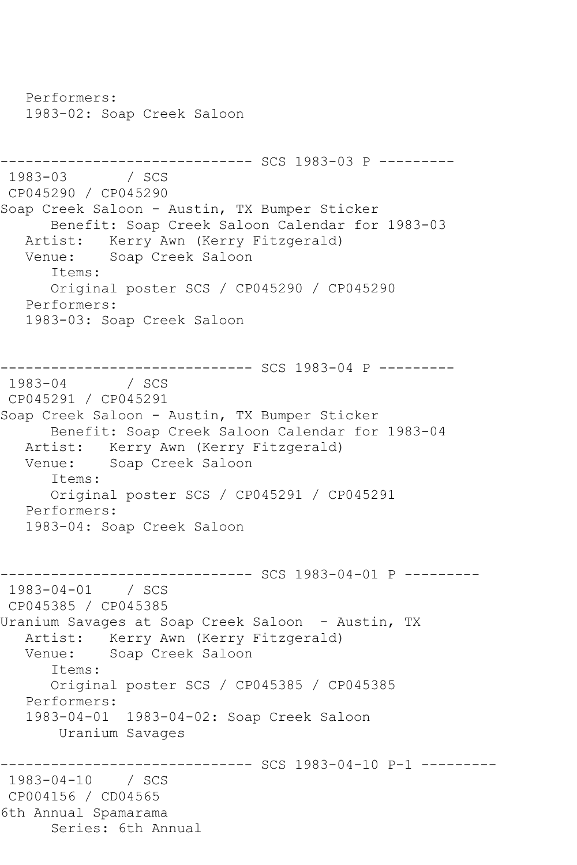Performers: 1983-02: Soap Creek Saloon ------------------------------ SCS 1983-03 P --------- 1983-03 / SCS CP045290 / CP045290 Soap Creek Saloon - Austin, TX Bumper Sticker Benefit: Soap Creek Saloon Calendar for 1983-03 Artist: Kerry Awn (Kerry Fitzgerald)<br>Venue: Soap Creek Saloon Soap Creek Saloon Items: Original poster SCS / CP045290 / CP045290 Performers: 1983-03: Soap Creek Saloon ---------------------------------- SCS 1983-04 P ----------<br>1983-04 / SCS 1984 / SCS CP045291 / CP045291 Soap Creek Saloon - Austin, TX Bumper Sticker Benefit: Soap Creek Saloon Calendar for 1983-04 Artist: Kerry Awn (Kerry Fitzgerald)<br>Venue: Soap Creek Saloon Soap Creek Saloon Items: Original poster SCS / CP045291 / CP045291 Performers: 1983-04: Soap Creek Saloon ------------------------------ SCS 1983-04-01 P --------- 1983-04-01 / SCS CP045385 / CP045385 Uranium Savages at Soap Creek Saloon - Austin, TX Artist: Kerry Awn (Kerry Fitzgerald) Venue: Soap Creek Saloon Items: Original poster SCS / CP045385 / CP045385 Performers: 1983-04-01 1983-04-02: Soap Creek Saloon Uranium Savages ------------------------------ SCS 1983-04-10 P-1 --------- 1983-04-10 / SCS CP004156 / CD04565 6th Annual Spamarama Series: 6th Annual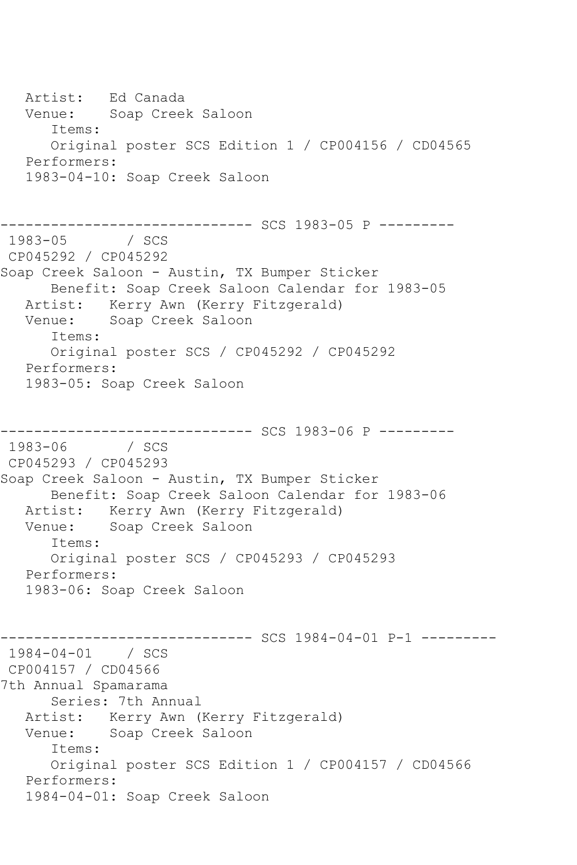Artist: Ed Canada Venue: Soap Creek Saloon Items: Original poster SCS Edition 1 / CP004156 / CD04565 Performers: 1983-04-10: Soap Creek Saloon ------------------------------ SCS 1983-05 P ---------  $1983 - 05$ CP045292 / CP045292 Soap Creek Saloon - Austin, TX Bumper Sticker Benefit: Soap Creek Saloon Calendar for 1983-05 Artist: Kerry Awn (Kerry Fitzgerald) Venue: Soap Creek Saloon Items: Original poster SCS / CP045292 / CP045292 Performers: 1983-05: Soap Creek Saloon ----------------- SCS 1983-06 P ----------<br>/ SCS  $1983 - 06$ CP045293 / CP045293 Soap Creek Saloon - Austin, TX Bumper Sticker Benefit: Soap Creek Saloon Calendar for 1983-06 Artist: Kerry Awn (Kerry Fitzgerald) Venue: Soap Creek Saloon Items: Original poster SCS / CP045293 / CP045293 Performers: 1983-06: Soap Creek Saloon ------------------------------ SCS 1984-04-01 P-1 --------- 1984-04-01 / SCS CP004157 / CD04566 7th Annual Spamarama Series: 7th Annual Artist: Kerry Awn (Kerry Fitzgerald) Venue: Soap Creek Saloon Items: Original poster SCS Edition 1 / CP004157 / CD04566 Performers: 1984-04-01: Soap Creek Saloon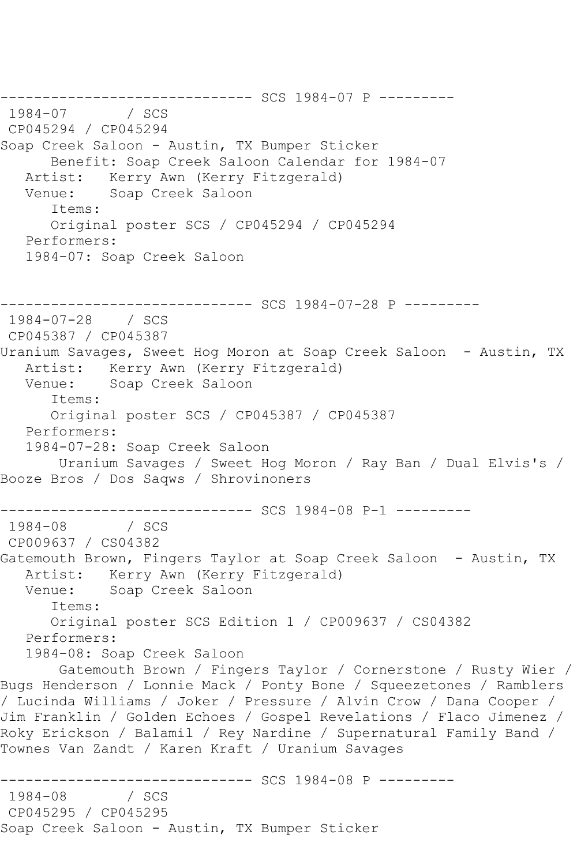--------------------------------- SCS 1984-07 P ---------<br>1984-07 / SCS  $1984 - 07$ CP045294 / CP045294 Soap Creek Saloon - Austin, TX Bumper Sticker Benefit: Soap Creek Saloon Calendar for 1984-07 Artist: Kerry Awn (Kerry Fitzgerald) Venue: Soap Creek Saloon Items: Original poster SCS / CP045294 / CP045294 Performers: 1984-07: Soap Creek Saloon ------------------------------ SCS 1984-07-28 P --------- 1984-07-28 / SCS CP045387 / CP045387 Uranium Savages, Sweet Hog Moron at Soap Creek Saloon - Austin, TX Artist: Kerry Awn (Kerry Fitzgerald) Venue: Soap Creek Saloon Items: Original poster SCS / CP045387 / CP045387 Performers: 1984-07-28: Soap Creek Saloon Uranium Savages / Sweet Hog Moron / Ray Ban / Dual Elvis's / Booze Bros / Dos Saqws / Shrovinoners ------------------------------ SCS 1984-08 P-1 ---------  $1984 - 08$ CP009637 / CS04382 Gatemouth Brown, Fingers Taylor at Soap Creek Saloon - Austin, TX Artist: Kerry Awn (Kerry Fitzgerald) Venue: Soap Creek Saloon Items: Original poster SCS Edition 1 / CP009637 / CS04382 Performers: 1984-08: Soap Creek Saloon Gatemouth Brown / Fingers Taylor / Cornerstone / Rusty Wier / Bugs Henderson / Lonnie Mack / Ponty Bone / Squeezetones / Ramblers / Lucinda Williams / Joker / Pressure / Alvin Crow / Dana Cooper / Jim Franklin / Golden Echoes / Gospel Revelations / Flaco Jimenez / Roky Erickson / Balamil / Rey Nardine / Supernatural Family Band / Townes Van Zandt / Karen Kraft / Uranium Savages ------------------------------ SCS 1984-08 P ---------  $1984 - 08$ CP045295 / CP045295 Soap Creek Saloon - Austin, TX Bumper Sticker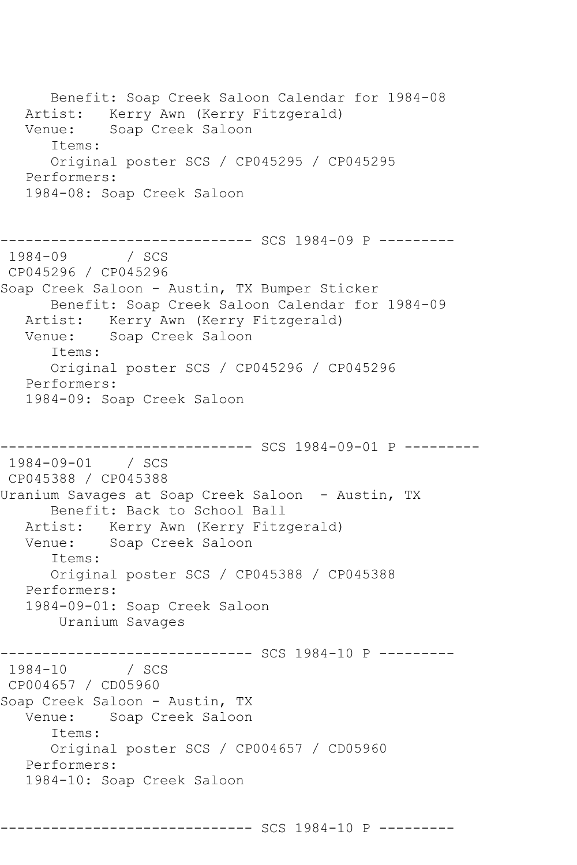Benefit: Soap Creek Saloon Calendar for 1984-08 Artist: Kerry Awn (Kerry Fitzgerald) Venue: Soap Creek Saloon Items: Original poster SCS / CP045295 / CP045295 Performers: 1984-08: Soap Creek Saloon ------------------------------ SCS 1984-09 P ---------  $1984 - 09$ CP045296 / CP045296 Soap Creek Saloon - Austin, TX Bumper Sticker Benefit: Soap Creek Saloon Calendar for 1984-09 Artist: Kerry Awn (Kerry Fitzgerald) Venue: Soap Creek Saloon Items: Original poster SCS / CP045296 / CP045296 Performers: 1984-09: Soap Creek Saloon ------------------------------ SCS 1984-09-01 P --------- 1984-09-01 / SCS CP045388 / CP045388 Uranium Savages at Soap Creek Saloon - Austin, TX Benefit: Back to School Ball Artist: Kerry Awn (Kerry Fitzgerald) Venue: Soap Creek Saloon Items: Original poster SCS / CP045388 / CP045388 Performers: 1984-09-01: Soap Creek Saloon Uranium Savages ------------------------------ SCS 1984-10 P --------- 1984-10 / SCS CP004657 / CD05960 Soap Creek Saloon - Austin, TX Venue: Soap Creek Saloon Items: Original poster SCS / CP004657 / CD05960 Performers: 1984-10: Soap Creek Saloon

------------------------------ SCS 1984-10 P ---------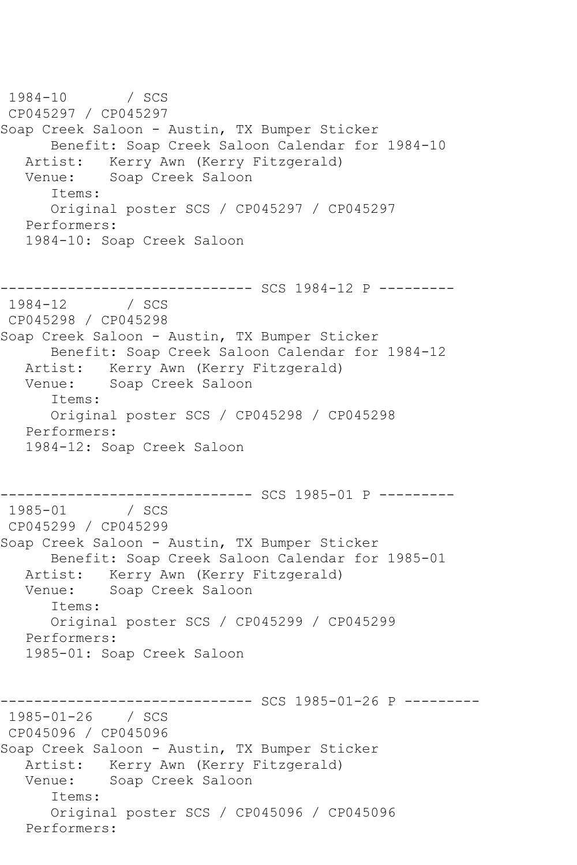1984-10 / SCS CP045297 / CP045297 Soap Creek Saloon - Austin, TX Bumper Sticker Benefit: Soap Creek Saloon Calendar for 1984-10 Artist: Kerry Awn (Kerry Fitzgerald) Venue: Soap Creek Saloon Items: Original poster SCS / CP045297 / CP045297 Performers: 1984-10: Soap Creek Saloon ----------- SCS 1984-12 P ---------1984-12 / SCS CP045298 / CP045298 Soap Creek Saloon - Austin, TX Bumper Sticker Benefit: Soap Creek Saloon Calendar for 1984-12 Artist: Kerry Awn (Kerry Fitzgerald) Venue: Soap Creek Saloon Items: Original poster SCS / CP045298 / CP045298 Performers: 1984-12: Soap Creek Saloon -------------------------------- SCS 1985-01 P ---------<br>1985-01 / SCS / SCS CP045299 / CP045299 Soap Creek Saloon - Austin, TX Bumper Sticker Benefit: Soap Creek Saloon Calendar for 1985-01 Artist: Kerry Awn (Kerry Fitzgerald)<br>Venue: Soap Creek Saloon Soap Creek Saloon Items: Original poster SCS / CP045299 / CP045299 Performers: 1985-01: Soap Creek Saloon ------------------------------ SCS 1985-01-26 P --------- 1985-01-26 / SCS CP045096 / CP045096 Soap Creek Saloon - Austin, TX Bumper Sticker Artist: Kerry Awn (Kerry Fitzgerald)<br>Venue: Soap Creek Saloon Soap Creek Saloon Items: Original poster SCS / CP045096 / CP045096 Performers: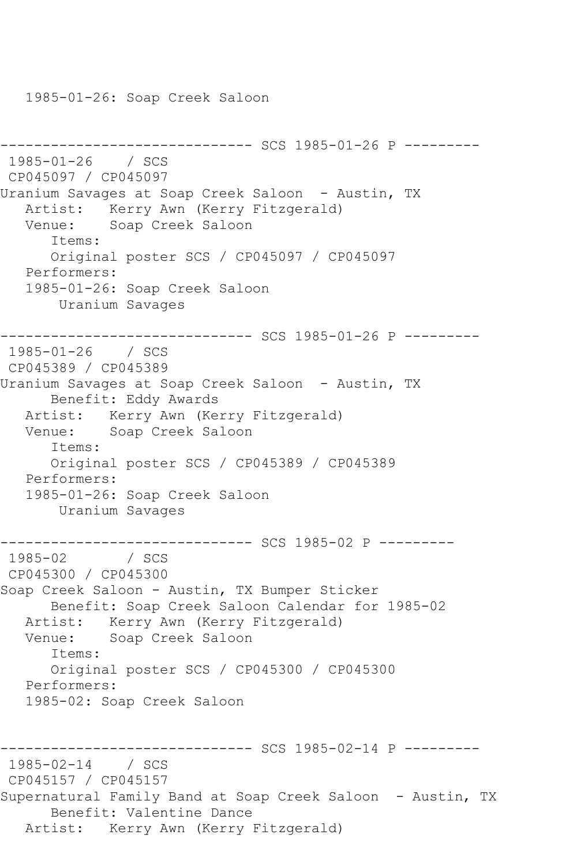1985-01-26: Soap Creek Saloon

```
------------------------------ SCS 1985-01-26 P ---------
1985-01-26 / SCS 
CP045097 / CP045097
Uranium Savages at Soap Creek Saloon - Austin, TX
   Artist: Kerry Awn (Kerry Fitzgerald)
   Venue: Soap Creek Saloon
      Items:
      Original poster SCS / CP045097 / CP045097
   Performers:
   1985-01-26: Soap Creek Saloon
       Uranium Savages
     ------------------------------ SCS 1985-01-26 P ---------
1985-01-26 / SCS 
CP045389 / CP045389
Uranium Savages at Soap Creek Saloon - Austin, TX
      Benefit: Eddy Awards
   Artist: Kerry Awn (Kerry Fitzgerald)
   Venue: Soap Creek Saloon
      Items:
      Original poster SCS / CP045389 / CP045389
   Performers:
   1985-01-26: Soap Creek Saloon
       Uranium Savages
------------------------------ SCS 1985-02 P ---------
1985-02 / SCS 
CP045300 / CP045300
Soap Creek Saloon - Austin, TX Bumper Sticker
      Benefit: Soap Creek Saloon Calendar for 1985-02
   Artist: Kerry Awn (Kerry Fitzgerald)
   Venue: Soap Creek Saloon
      Items:
      Original poster SCS / CP045300 / CP045300
   Performers:
   1985-02: Soap Creek Saloon
                    ----------- SCS 1985-02-14 P ---------
1985-02-14 / SCS 
CP045157 / CP045157
Supernatural Family Band at Soap Creek Saloon - Austin, TX
      Benefit: Valentine Dance
   Artist: Kerry Awn (Kerry Fitzgerald)
```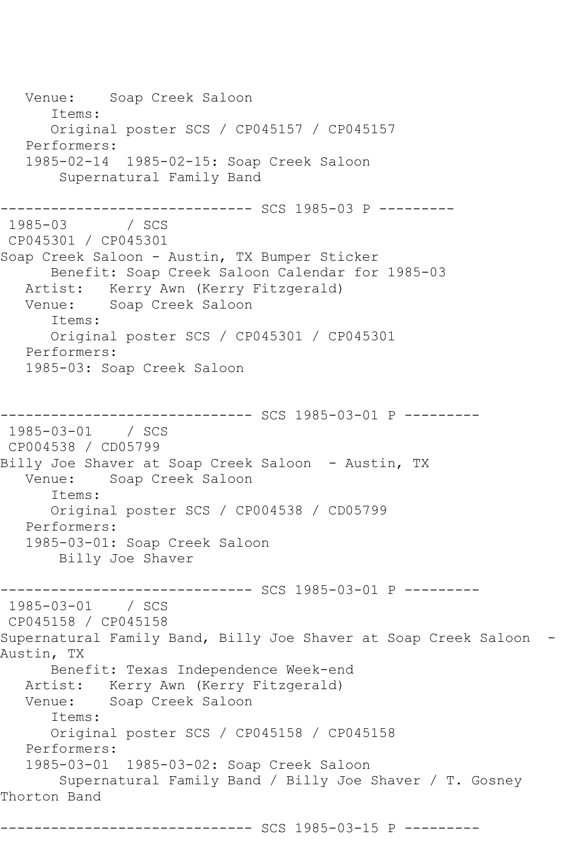Venue: Soap Creek Saloon Items: Original poster SCS / CP045157 / CP045157 Performers: 1985-02-14 1985-02-15: Soap Creek Saloon Supernatural Family Band --------------------------------- SCS 1985-03 P ---------<br>1985-03 / SCS 1985-03 CP045301 / CP045301 Soap Creek Saloon - Austin, TX Bumper Sticker Benefit: Soap Creek Saloon Calendar for 1985-03 Artist: Kerry Awn (Kerry Fitzgerald) Venue: Soap Creek Saloon Items: Original poster SCS / CP045301 / CP045301 Performers: 1985-03: Soap Creek Saloon ------------------------------ SCS 1985-03-01 P --------- 1985-03-01 / SCS CP004538 / CD05799 Billy Joe Shaver at Soap Creek Saloon - Austin, TX Venue: Soap Creek Saloon Items: Original poster SCS / CP004538 / CD05799 Performers: 1985-03-01: Soap Creek Saloon Billy Joe Shaver --------------- SCS 1985-03-01 P ---------1985-03-01 / SCS CP045158 / CP045158 Supernatural Family Band, Billy Joe Shaver at Soap Creek Saloon - Austin, TX Benefit: Texas Independence Week-end Artist: Kerry Awn (Kerry Fitzgerald) Venue: Soap Creek Saloon Items: Original poster SCS / CP045158 / CP045158 Performers: 1985-03-01 1985-03-02: Soap Creek Saloon Supernatural Family Band / Billy Joe Shaver / T. Gosney Thorton Band ------------------------------ SCS 1985-03-15 P ---------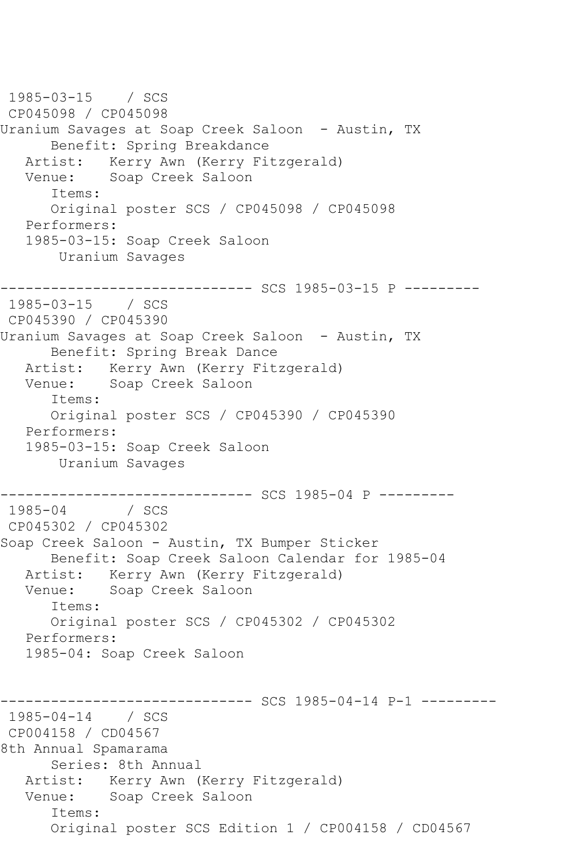1985-03-15 / SCS CP045098 / CP045098 Uranium Savages at Soap Creek Saloon - Austin, TX Benefit: Spring Breakdance Artist: Kerry Awn (Kerry Fitzgerald) Venue: Soap Creek Saloon Items: Original poster SCS / CP045098 / CP045098 Performers: 1985-03-15: Soap Creek Saloon Uranium Savages ------------------------------ SCS 1985-03-15 P --------- 1985-03-15 / SCS CP045390 / CP045390 Uranium Savages at Soap Creek Saloon - Austin, TX Benefit: Spring Break Dance Artist: Kerry Awn (Kerry Fitzgerald) Venue: Soap Creek Saloon Items: Original poster SCS / CP045390 / CP045390 Performers: 1985-03-15: Soap Creek Saloon Uranium Savages -------------------------------- SCS 1985-04 P ---------<br>1985-04 / SCS  $1985 - 04$ CP045302 / CP045302 Soap Creek Saloon - Austin, TX Bumper Sticker Benefit: Soap Creek Saloon Calendar for 1985-04 Artist: Kerry Awn (Kerry Fitzgerald)<br>Venue: Soap Creek Saloon Soap Creek Saloon Items: Original poster SCS / CP045302 / CP045302 Performers: 1985-04: Soap Creek Saloon ------------------------------ SCS 1985-04-14 P-1 --------- 1985-04-14 / SCS CP004158 / CD04567 8th Annual Spamarama Series: 8th Annual Artist: Kerry Awn (Kerry Fitzgerald) Venue: Soap Creek Saloon Items: Original poster SCS Edition 1 / CP004158 / CD04567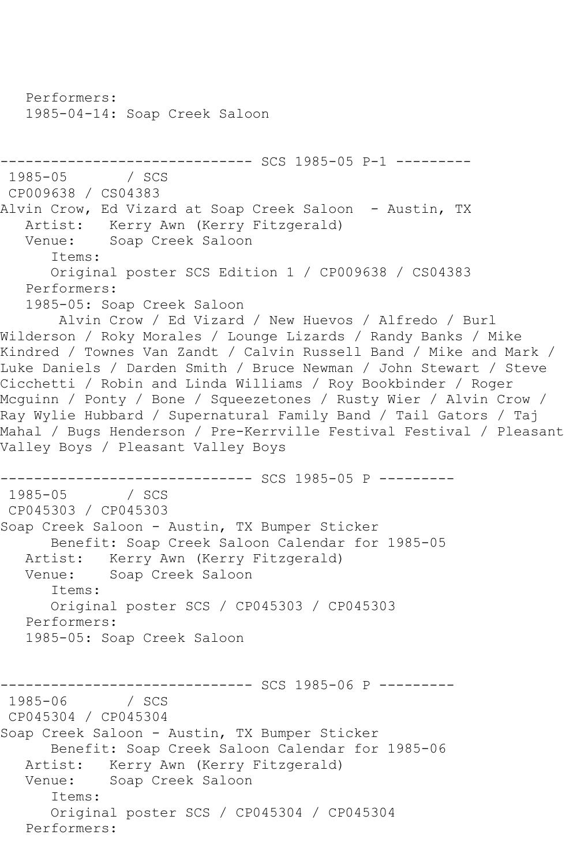Performers: 1985-04-14: Soap Creek Saloon ------------------------------ SCS 1985-05 P-1 --------- 1985-05 / SCS CP009638 / CS04383 Alvin Crow, Ed Vizard at Soap Creek Saloon - Austin, TX Artist: Kerry Awn (Kerry Fitzgerald) Venue: Soap Creek Saloon Items: Original poster SCS Edition 1 / CP009638 / CS04383 Performers: 1985-05: Soap Creek Saloon Alvin Crow / Ed Vizard / New Huevos / Alfredo / Burl Wilderson / Roky Morales / Lounge Lizards / Randy Banks / Mike Kindred / Townes Van Zandt / Calvin Russell Band / Mike and Mark / Luke Daniels / Darden Smith / Bruce Newman / John Stewart / Steve Cicchetti / Robin and Linda Williams / Roy Bookbinder / Roger Mcguinn / Ponty / Bone / Squeezetones / Rusty Wier / Alvin Crow / Ray Wylie Hubbard / Supernatural Family Band / Tail Gators / Taj Mahal / Bugs Henderson / Pre-Kerrville Festival Festival / Pleasant Valley Boys / Pleasant Valley Boys -------------------------------- SCS 1985-05 P ---------<br>1985-05 / SCS  $1985 - 05$ CP045303 / CP045303 Soap Creek Saloon - Austin, TX Bumper Sticker Benefit: Soap Creek Saloon Calendar for 1985-05 Artist: Kerry Awn (Kerry Fitzgerald)<br>Venue: Soap Creek Saloon Soap Creek Saloon Items: Original poster SCS / CP045303 / CP045303 Performers: 1985-05: Soap Creek Saloon ------------------------------ SCS 1985-06 P ---------  $1985 - 06$ CP045304 / CP045304 Soap Creek Saloon - Austin, TX Bumper Sticker Benefit: Soap Creek Saloon Calendar for 1985-06 Artist: Kerry Awn (Kerry Fitzgerald)<br>Venue: Soap Creek Saloon Soap Creek Saloon Items: Original poster SCS / CP045304 / CP045304 Performers: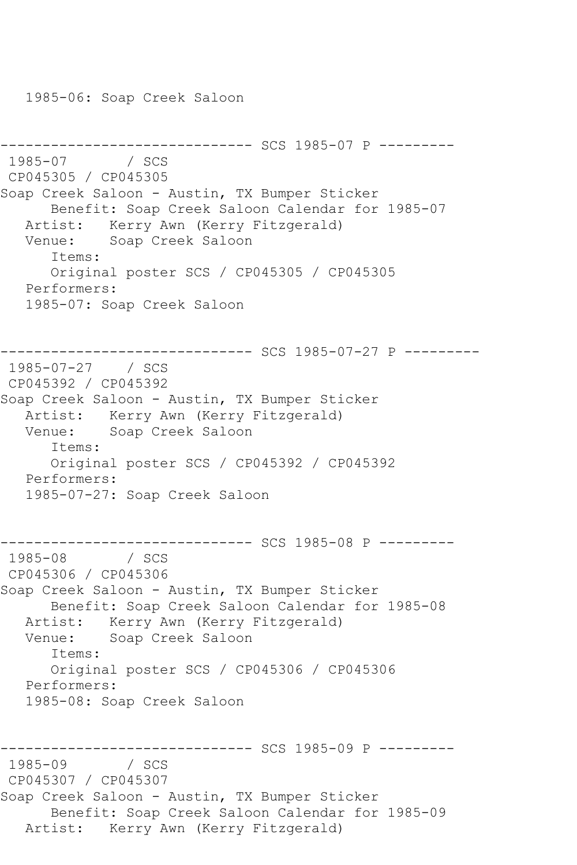1985-06: Soap Creek Saloon

```
--------------------------------- SCS 1985-07 P ----------<br>1985-07    / SCS
1985 - 07CP045305 / CP045305
Soap Creek Saloon - Austin, TX Bumper Sticker
       Benefit: Soap Creek Saloon Calendar for 1985-07
   Artist: Kerry Awn (Kerry Fitzgerald)
   Venue: Soap Creek Saloon
       Items:
      Original poster SCS / CP045305 / CP045305
   Performers:
   1985-07: Soap Creek Saloon
------------------------------ SCS 1985-07-27 P ---------
1985-07-27 / SCS 
CP045392 / CP045392
Soap Creek Saloon - Austin, TX Bumper Sticker
   Artist: Kerry Awn (Kerry Fitzgerald)
   Venue: Soap Creek Saloon
      Items:
       Original poster SCS / CP045392 / CP045392
   Performers:
   1985-07-27: Soap Creek Saloon
                      --------- SCS 1985-08 P ---------
1985-08 / SCS 
CP045306 / CP045306
Soap Creek Saloon - Austin, TX Bumper Sticker
      Benefit: Soap Creek Saloon Calendar for 1985-08
   Artist: Kerry Awn (Kerry Fitzgerald)
   Venue: Soap Creek Saloon
       Items:
      Original poster SCS / CP045306 / CP045306
   Performers:
   1985-08: Soap Creek Saloon
            ------------------------------ SCS 1985-09 P ---------
1985-09
CP045307 / CP045307
Soap Creek Saloon - Austin, TX Bumper Sticker
      Benefit: Soap Creek Saloon Calendar for 1985-09
   Artist: Kerry Awn (Kerry Fitzgerald)
```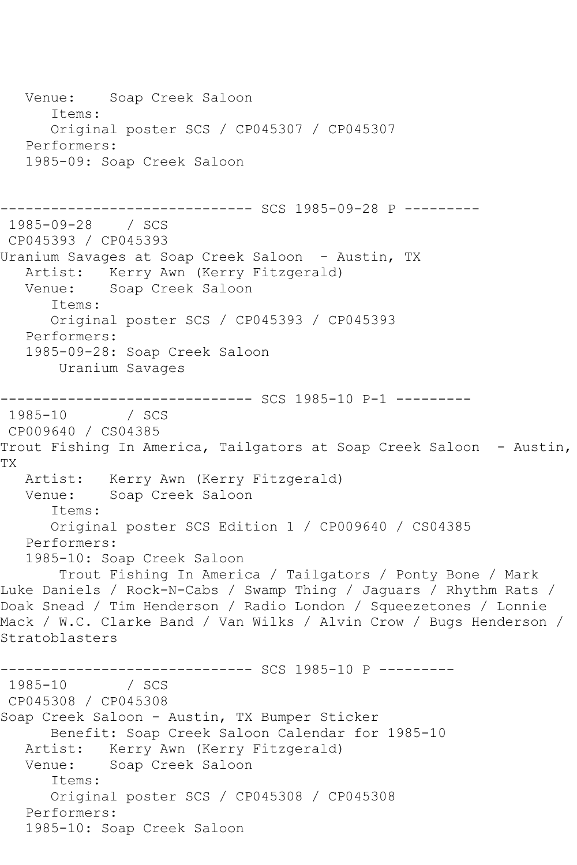Venue: Soap Creek Saloon Items: Original poster SCS / CP045307 / CP045307 Performers: 1985-09: Soap Creek Saloon ------------------------------ SCS 1985-09-28 P --------- 1985-09-28 / SCS CP045393 / CP045393 Uranium Savages at Soap Creek Saloon - Austin, TX Artist: Kerry Awn (Kerry Fitzgerald)<br>Venue: Soap Creek Saloon Soap Creek Saloon Items: Original poster SCS / CP045393 / CP045393 Performers: 1985-09-28: Soap Creek Saloon Uranium Savages ------------------------------ SCS 1985-10 P-1 --------- 1985-10 / SCS CP009640 / CS04385 Trout Fishing In America, Tailgators at Soap Creek Saloon - Austin, TX Artist: Kerry Awn (Kerry Fitzgerald)<br>Venue: Soap Creek Saloon Soap Creek Saloon Items: Original poster SCS Edition 1 / CP009640 / CS04385 Performers: 1985-10: Soap Creek Saloon Trout Fishing In America / Tailgators / Ponty Bone / Mark Luke Daniels / Rock-N-Cabs / Swamp Thing / Jaguars / Rhythm Rats / Doak Snead / Tim Henderson / Radio London / Squeezetones / Lonnie Mack / W.C. Clarke Band / Van Wilks / Alvin Crow / Bugs Henderson / Stratoblasters --------------------------------- SCS 1985-10 P ---------<br>1985-10 / SCS 1985-10 CP045308 / CP045308 Soap Creek Saloon - Austin, TX Bumper Sticker Benefit: Soap Creek Saloon Calendar for 1985-10 Artist: Kerry Awn (Kerry Fitzgerald) Venue: Soap Creek Saloon Items: Original poster SCS / CP045308 / CP045308 Performers: 1985-10: Soap Creek Saloon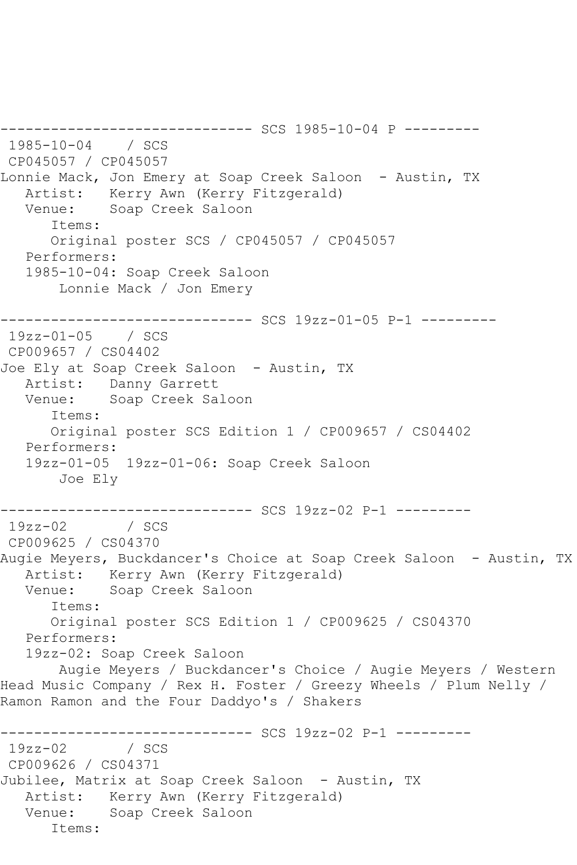-------------- SCS 1985-10-04 P ---------1985-10-04 / SCS CP045057 / CP045057 Lonnie Mack, Jon Emery at Soap Creek Saloon - Austin, TX Artist: Kerry Awn (Kerry Fitzgerald) Venue: Soap Creek Saloon Items: Original poster SCS / CP045057 / CP045057 Performers: 1985-10-04: Soap Creek Saloon Lonnie Mack / Jon Emery ------------------------------ SCS 19zz-01-05 P-1 --------- 19zz-01-05 / SCS CP009657 / CS04402 Joe Ely at Soap Creek Saloon - Austin, TX Artist: Danny Garrett Venue: Soap Creek Saloon Items: Original poster SCS Edition 1 / CP009657 / CS04402 Performers: 19zz-01-05 19zz-01-06: Soap Creek Saloon Joe Ely --------------------------------- SCS 19zz-02 P-1 ----------<br>19zz-02 / SCS  $19zz-02$ CP009625 / CS04370 Augie Meyers, Buckdancer's Choice at Soap Creek Saloon - Austin, TX Artist: Kerry Awn (Kerry Fitzgerald) Venue: Soap Creek Saloon Items: Original poster SCS Edition 1 / CP009625 / CS04370 Performers: 19zz-02: Soap Creek Saloon Augie Meyers / Buckdancer's Choice / Augie Meyers / Western Head Music Company / Rex H. Foster / Greezy Wheels / Plum Nelly / Ramon Ramon and the Four Daddyo's / Shakers ------------------------------ SCS 19zz-02 P-1 ---------  $19zz-02$ CP009626 / CS04371 Jubilee, Matrix at Soap Creek Saloon - Austin, TX Artist: Kerry Awn (Kerry Fitzgerald) Venue: Soap Creek Saloon Items: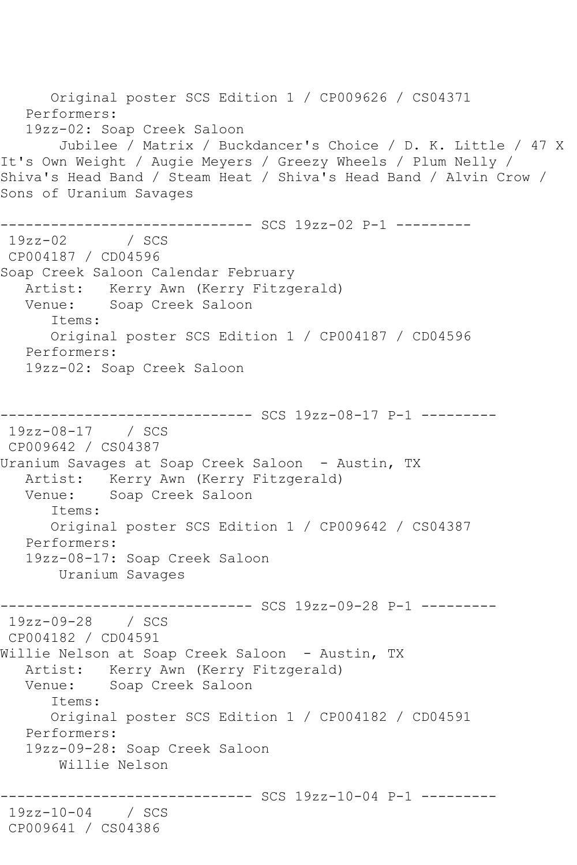Original poster SCS Edition 1 / CP009626 / CS04371 Performers: 19zz-02: Soap Creek Saloon Jubilee / Matrix / Buckdancer's Choice / D. K. Little / 47 X It's Own Weight / Augie Meyers / Greezy Wheels / Plum Nelly / Shiva's Head Band / Steam Heat / Shiva's Head Band / Alvin Crow / Sons of Uranium Savages ------------------------------ SCS 19zz-02 P-1 ---------  $19zz-02$ CP004187 / CD04596 Soap Creek Saloon Calendar February Artist: Kerry Awn (Kerry Fitzgerald) Venue: Soap Creek Saloon Items: Original poster SCS Edition 1 / CP004187 / CD04596 Performers: 19zz-02: Soap Creek Saloon ------------------------------ SCS 19zz-08-17 P-1 --------- 19zz-08-17 / SCS CP009642 / CS04387 Uranium Savages at Soap Creek Saloon - Austin, TX Artist: Kerry Awn (Kerry Fitzgerald)<br>Venue: Soap Creek Saloon Soap Creek Saloon Items: Original poster SCS Edition 1 / CP009642 / CS04387 Performers: 19zz-08-17: Soap Creek Saloon Uranium Savages ------------------------------ SCS 19zz-09-28 P-1 --------- 19zz-09-28 / SCS CP004182 / CD04591 Willie Nelson at Soap Creek Saloon - Austin, TX Artist: Kerry Awn (Kerry Fitzgerald) Venue: Soap Creek Saloon Items: Original poster SCS Edition 1 / CP004182 / CD04591 Performers: 19zz-09-28: Soap Creek Saloon Willie Nelson ------------------------------ SCS 19zz-10-04 P-1 --------- 19zz-10-04 / SCS CP009641 / CS04386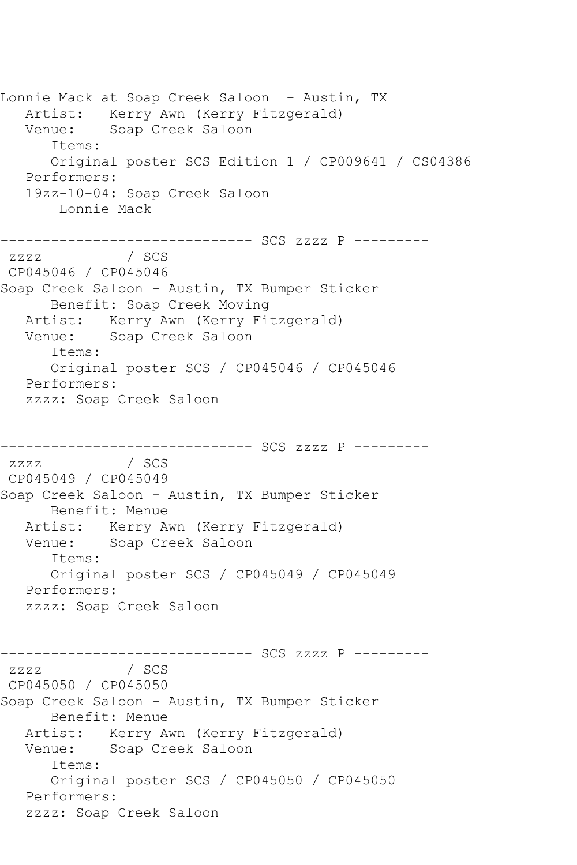Lonnie Mack at Soap Creek Saloon - Austin, TX Artist: Kerry Awn (Kerry Fitzgerald) Venue: Soap Creek Saloon Items: Original poster SCS Edition 1 / CP009641 / CS04386 Performers: 19zz-10-04: Soap Creek Saloon Lonnie Mack ------------------------------ SCS zzzz P ---------  $ZZZ$ CP045046 / CP045046 Soap Creek Saloon - Austin, TX Bumper Sticker Benefit: Soap Creek Moving Artist: Kerry Awn (Kerry Fitzgerald) Venue: Soap Creek Saloon Items: Original poster SCS / CP045046 / CP045046 Performers: zzzz: Soap Creek Saloon ------------------------------ SCS zzzz P -------- zzzz / SCS CP045049 / CP045049 Soap Creek Saloon - Austin, TX Bumper Sticker Benefit: Menue Artist: Kerry Awn (Kerry Fitzgerald) Venue: Soap Creek Saloon Items: Original poster SCS / CP045049 / CP045049 Performers: zzzz: Soap Creek Saloon ------------------------------ SCS zzzz P -------- zzzz / SCS CP045050 / CP045050 Soap Creek Saloon - Austin, TX Bumper Sticker Benefit: Menue Artist: Kerry Awn (Kerry Fitzgerald) Venue: Soap Creek Saloon Items: Original poster SCS / CP045050 / CP045050 Performers: zzzz: Soap Creek Saloon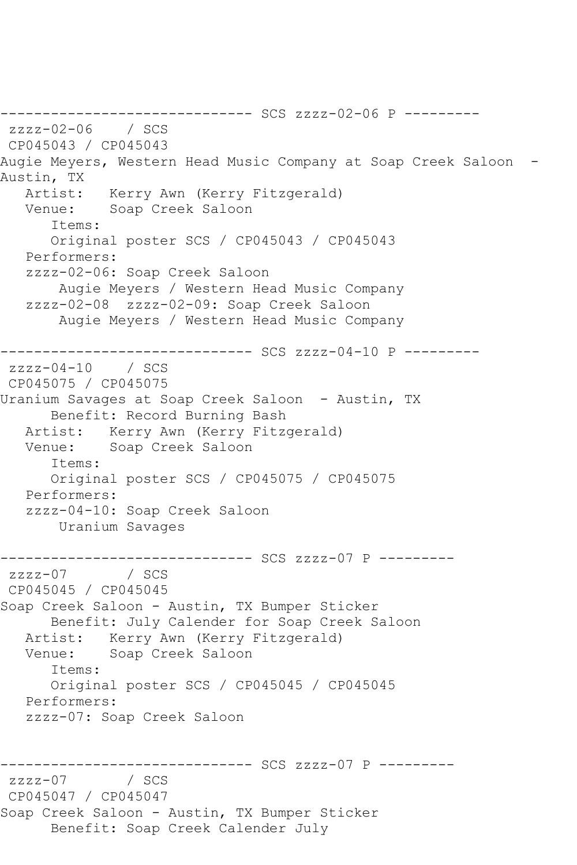------------------------------ SCS zzzz-02-06 P -------- zzzz-02-06 / SCS CP045043 / CP045043 Augie Meyers, Western Head Music Company at Soap Creek Saloon -Austin, TX Artist: Kerry Awn (Kerry Fitzgerald) Venue: Soap Creek Saloon Items: Original poster SCS / CP045043 / CP045043 Performers: zzzz-02-06: Soap Creek Saloon Augie Meyers / Western Head Music Company zzzz-02-08 zzzz-02-09: Soap Creek Saloon Augie Meyers / Western Head Music Company ------------------------------ SCS zzzz-04-10 P -------- zzzz-04-10 / SCS CP045075 / CP045075 Uranium Savages at Soap Creek Saloon - Austin, TX Benefit: Record Burning Bash Artist: Kerry Awn (Kerry Fitzgerald)<br>Venue: Soap Creek Saloon Soap Creek Saloon Items: Original poster SCS / CP045075 / CP045075 Performers: zzzz-04-10: Soap Creek Saloon Uranium Savages ------------------------------ SCS zzzz-07 P --------  $zzzz-07$ CP045045 / CP045045 Soap Creek Saloon - Austin, TX Bumper Sticker Benefit: July Calender for Soap Creek Saloon Artist: Kerry Awn (Kerry Fitzgerald) Venue: Soap Creek Saloon Items: Original poster SCS / CP045045 / CP045045 Performers: zzzz-07: Soap Creek Saloon ------------------------------ SCS zzzz-07 P --------  $zzzz-07$ CP045047 / CP045047 Soap Creek Saloon - Austin, TX Bumper Sticker Benefit: Soap Creek Calender July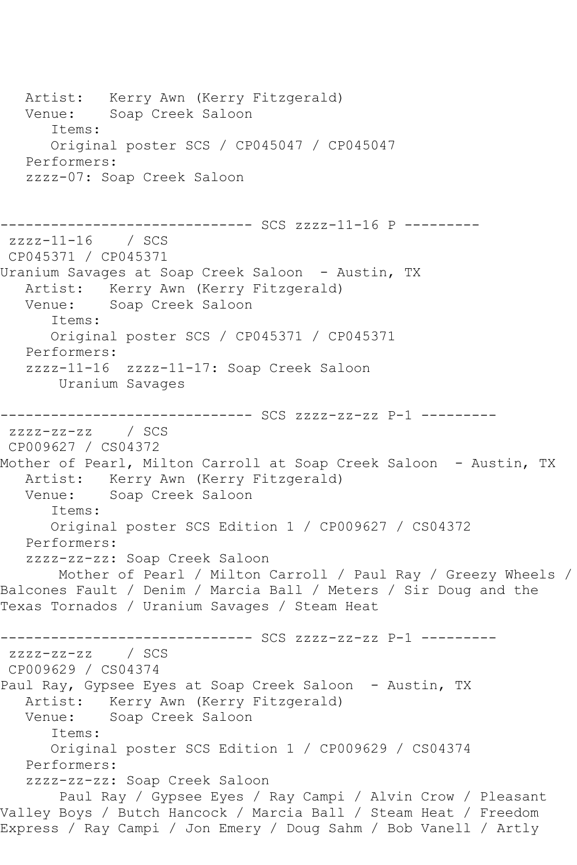Artist: Kerry Awn (Kerry Fitzgerald) Venue: Soap Creek Saloon Items: Original poster SCS / CP045047 / CP045047 Performers: zzzz-07: Soap Creek Saloon ------------------------------ SCS zzzz-11-16 P -------- zzzz-11-16 / SCS CP045371 / CP045371 Uranium Savages at Soap Creek Saloon - Austin, TX Artist: Kerry Awn (Kerry Fitzgerald) Venue: Soap Creek Saloon Items: Original poster SCS / CP045371 / CP045371 Performers: zzzz-11-16 zzzz-11-17: Soap Creek Saloon Uranium Savages ------------------------------ SCS zzzz-zz-zz P-1 -------- zzzz-zz-zz / SCS CP009627 / CS04372 Mother of Pearl, Milton Carroll at Soap Creek Saloon - Austin, TX Artist: Kerry Awn (Kerry Fitzgerald)<br>Venue: Soap Creek Saloon Soap Creek Saloon Items: Original poster SCS Edition 1 / CP009627 / CS04372 Performers: zzzz-zz-zz: Soap Creek Saloon Mother of Pearl / Milton Carroll / Paul Ray / Greezy Wheels / Balcones Fault / Denim / Marcia Ball / Meters / Sir Doug and the Texas Tornados / Uranium Savages / Steam Heat ------------------------------ SCS zzzz-zz-zz P-1 -------- zzzz-zz-zz / SCS CP009629 / CS04374 Paul Ray, Gypsee Eyes at Soap Creek Saloon - Austin, TX Artist: Kerry Awn (Kerry Fitzgerald)<br>Venue: Soap Creek Saloon Soap Creek Saloon Items: Original poster SCS Edition 1 / CP009629 / CS04374 Performers: zzzz-zz-zz: Soap Creek Saloon Paul Ray / Gypsee Eyes / Ray Campi / Alvin Crow / Pleasant Valley Boys / Butch Hancock / Marcia Ball / Steam Heat / Freedom Express / Ray Campi / Jon Emery / Doug Sahm / Bob Vanell / Artly